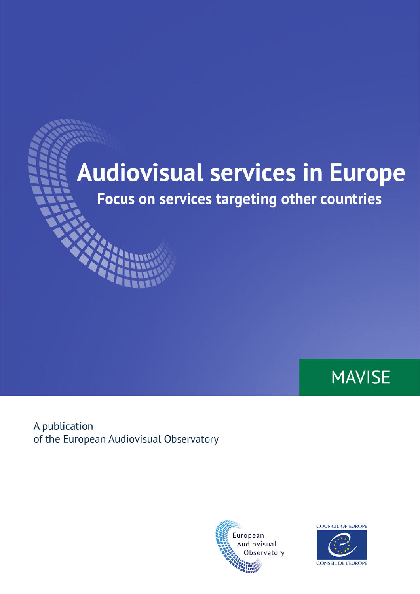# **Audiovisual services in Europe**

**Focus on services targeting other countries**

**MAVISE** 

A publication of the European Audiovisual Observatory



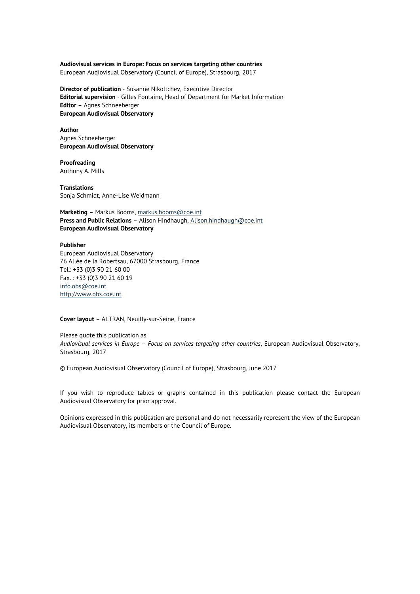#### **Audiovisual services in Europe: Focus on services targeting other countries** European Audiovisual Observatory (Council of Europe), Strasbourg, 2017

**Director of publication** - Susanne Nikoltchev, Executive Director **Editorial supervision** - Gilles Fontaine, Head of Department for Market Information **Editor** – Agnes Schneeberger **European Audiovisual Observatory**

**Author** Agnes Schneeberger **European Audiovisual Observatory**

**Proofreading** Anthony A. Mills

**Translations** Sonja Schmidt, Anne-Lise Weidmann

**Marketing** – Markus Booms, [markus.booms@coe.int](mailto:markus.booms@coe.int) **Press and Public Relations** – Alison Hindhaugh, [Alison.hindhaugh@coe.int](mailto:Alison.hindhaugh@coe.int) **European Audiovisual Observatory**

#### **Publisher**

European Audiovisual Observatory 76 Allée de la Robertsau, 67000 Strasbourg, France Tel.: +33 (0)3 90 21 60 00 Fax. : +33 (0)3 90 21 60 19 [info.obs@coe.int](mailto:info.obs@coe.int) [http://www.obs.coe.int](http://www.obs.coe.int/)

**Cover layout** – ALTRAN, Neuilly-sur-Seine, France

Please quote this publication as *Audiovisual services in Europe – Focus on services targeting other countries*, European Audiovisual Observatory, Strasbourg, 2017

© European Audiovisual Observatory (Council of Europe), Strasbourg, June 2017

If you wish to reproduce tables or graphs contained in this publication please contact the European Audiovisual Observatory for prior approval.

Opinions expressed in this publication are personal and do not necessarily represent the view of the European Audiovisual Observatory, its members or the Council of Europe.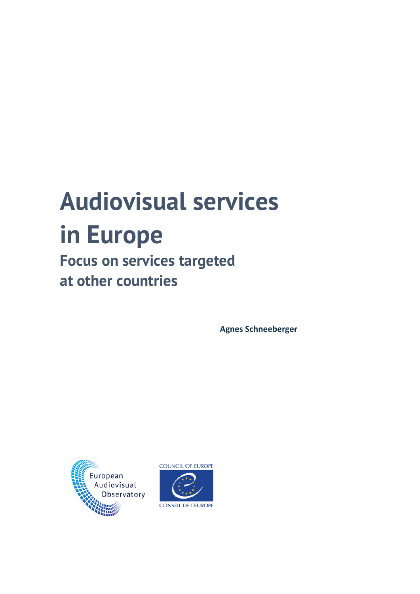# **Audiovisual services in Europe**

**Focus on services targeted at other countries**

**Agnes Schneeberger**



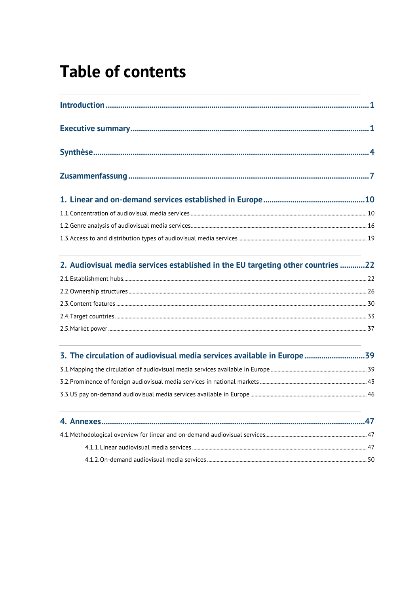# **Table of contents**

| $\mathbf{a} \cdot \mathbf{a}$ and $\mathbf{a} \cdot \mathbf{a}$ and $\mathbf{a} \cdot \mathbf{a}$ and $\mathbf{a} \cdot \mathbf{a}$ and $\mathbf{a} \cdot \mathbf{a}$ |  |
|-----------------------------------------------------------------------------------------------------------------------------------------------------------------------|--|

#### 2. Audiovisual media services established in the EU targeting other countries ............22  $\begin{array}{c} \n\bullet & \bullet & \bullet & \bullet & \bullet & \bullet \end{array}$  $\overline{\phantom{a}}$

| <u> 1989 - Andrea Barbara, Amerikaansk politiker (d. 1989)</u> |  |
|----------------------------------------------------------------|--|
|                                                                |  |
|                                                                |  |
|                                                                |  |
|                                                                |  |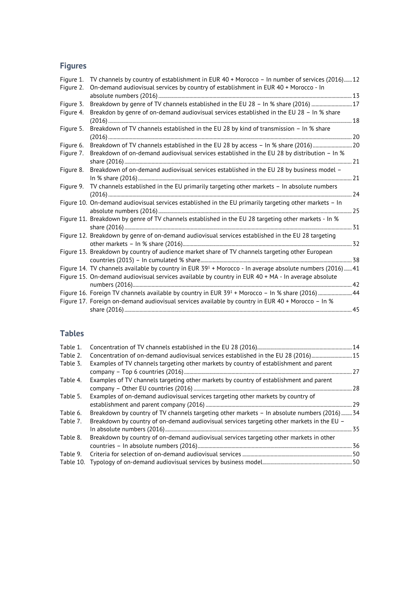### **Figures**

| Figure 1.<br>Figure 2. | TV channels by country of establishment in EUR 40 + Morocco - In number of services (2016) 12<br>On-demand audiovisual services by country of establishment in EUR 40 + Morocco - In |  |
|------------------------|--------------------------------------------------------------------------------------------------------------------------------------------------------------------------------------|--|
|                        |                                                                                                                                                                                      |  |
| Figure 3.              | Breakdown by genre of TV channels established in the EU 28 - In % share (2016)  17                                                                                                   |  |
| Figure 4.              | Breakdon by genre of on-demand audiovisual services established in the EU 28 - In % share                                                                                            |  |
| Figure 5.              | Breakdown of TV channels established in the EU 28 by kind of transmission - In % share                                                                                               |  |
| Figure 6.              | Breakdown of TV channels established in the EU 28 by access - In % share (2016) 20                                                                                                   |  |
| Figure 7.              | Breakdown of on-demand audiovisual services established in the EU 28 by distribution - In %                                                                                          |  |
| Figure 8.              | Breakdown of on-demand audiovisual services established in the EU 28 by business model -                                                                                             |  |
| Figure 9.              | TV channels established in the EU primarily targeting other markets - In absolute numbers                                                                                            |  |
|                        | Figure 10. On-demand audiovisual services established in the EU primarily targeting other markets - In                                                                               |  |
|                        | Figure 11. Breakdown by genre of TV channels established in the EU 28 targeting other markets - In %                                                                                 |  |
|                        | Figure 12. Breakdown by genre of on-demand audiovisual services established in the EU 28 targeting                                                                                   |  |
|                        | Figure 13. Breakdown by country of audience market share of TV channels targeting other European                                                                                     |  |
|                        | Figure 14. TV channels available by country in EUR 39 <sup>1</sup> + Morocco - In average absolute numbers (2016) 41                                                                 |  |
|                        | Figure 15. On-demand audiovisual services available by country in EUR 40 + MA - In average absolute                                                                                  |  |
|                        | Figure 16. Foreign TV channels available by country in EUR 39 <sup>1</sup> + Morocco - In % share (2016)  44                                                                         |  |
|                        | Figure 17. Foreign on-demand audiovisual services available by country in EUR 40 + Morocco - In %                                                                                    |  |
|                        |                                                                                                                                                                                      |  |

### **Tables**

| Table 1.  |                                                                                             |  |
|-----------|---------------------------------------------------------------------------------------------|--|
| Table 2.  | Concentration of on-demand audiovisual services established in the EU 28 (2016) 15          |  |
| Table 3.  | Examples of TV channels targeting other markets by country of establishment and parent      |  |
|           |                                                                                             |  |
| Table 4.  | Examples of TV channels targeting other markets by country of establishment and parent      |  |
|           |                                                                                             |  |
| Table 5.  | Examples of on-demand audiovisual services targeting other markets by country of            |  |
|           |                                                                                             |  |
| Table 6.  | Breakdown by country of TV channels targeting other markets - In absolute numbers (2016) 34 |  |
| Table 7.  | Breakdown by country of on-demand audiovisual services targeting other markets in the EU -  |  |
|           |                                                                                             |  |
| Table 8.  | Breakdown by country of on-demand audiovisual services targeting other markets in other     |  |
|           |                                                                                             |  |
| Table 9.  |                                                                                             |  |
| Table 10. |                                                                                             |  |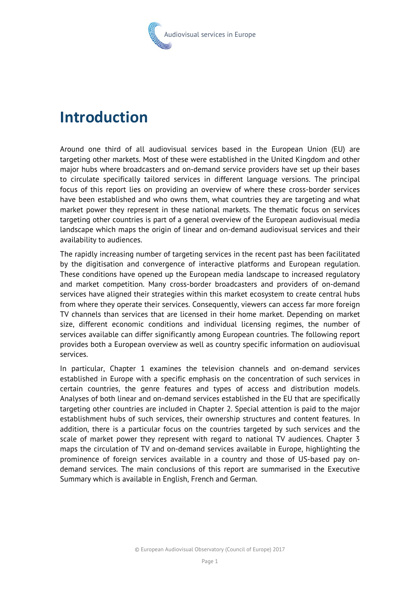

# <span id="page-7-0"></span>**Introduction**

Around one third of all audiovisual services based in the European Union (EU) are targeting other markets. Most of these were established in the United Kingdom and other major hubs where broadcasters and on-demand service providers have set up their bases to circulate specifically tailored services in different language versions. The principal focus of this report lies on providing an overview of where these cross-border services have been established and who owns them, what countries they are targeting and what market power they represent in these national markets. The thematic focus on services targeting other countries is part of a general overview of the European audiovisual media landscape which maps the origin of linear and on-demand audiovisual services and their availability to audiences.

The rapidly increasing number of targeting services in the recent past has been facilitated by the digitisation and convergence of interactive platforms and European regulation. These conditions have opened up the European media landscape to increased regulatory and market competition. Many cross-border broadcasters and providers of on-demand services have aligned their strategies within this market ecosystem to create central hubs from where they operate their services. Consequently, viewers can access far more foreign TV channels than services that are licensed in their home market. Depending on market size, different economic conditions and individual licensing regimes, the number of services available can differ significantly among European countries. The following report provides both a European overview as well as country specific information on audiovisual services.

In particular, Chapter 1 examines the television channels and on-demand services established in Europe with a specific emphasis on the concentration of such services in certain countries, the genre features and types of access and distribution models. Analyses of both linear and on-demand services established in the EU that are specifically targeting other countries are included in Chapter 2. Special attention is paid to the major establishment hubs of such services, their ownership structures and content features. In addition, there is a particular focus on the countries targeted by such services and the scale of market power they represent with regard to national TV audiences. Chapter 3 maps the circulation of TV and on-demand services available in Europe, highlighting the prominence of foreign services available in a country and those of US-based pay ondemand services. The main conclusions of this report are summarised in the Executive Summary which is available in English, French and German.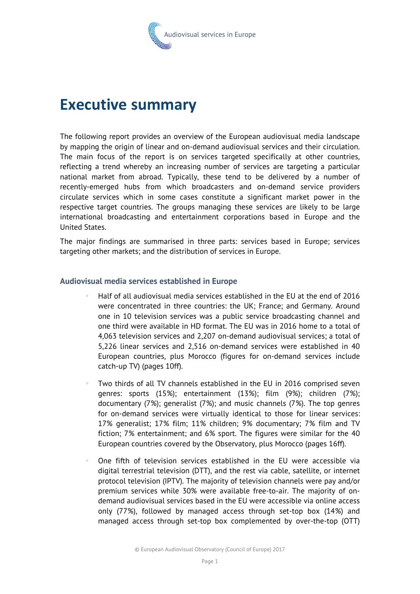

# <span id="page-8-0"></span>**Executive summary**

The following report provides an overview of the European audiovisual media landscape by mapping the origin of linear and on-demand audiovisual services and their circulation. The main focus of the report is on services targeted specifically at other countries, reflecting a trend whereby an increasing number of services are targeting a particular national market from abroad. Typically, these tend to be delivered by a number of recently-emerged hubs from which broadcasters and on-demand service providers circulate services which in some cases constitute a significant market power in the respective target countries. The groups managing these services are likely to be large international broadcasting and entertainment corporations based in Europe and the United States.

The major findings are summarised in three parts: services based in Europe; services targeting other markets; and the distribution of services in Europe.

#### **Audiovisual media services established in Europe**

- Half of all audiovisual media services established in the EU at the end of 2016 were concentrated in three countries: the UK; France; and Germany. Around one in 10 television services was a public service broadcasting channel and one third were available in HD format. The EU was in 2016 home to a total of 4,063 television services and 2,207 on-demand audiovisual services; a total of 5,226 linear services and 2,516 on-demand services were established in 40 European countries, plus Morocco (figures for on-demand services include catch-up TV) (pages 10ff).
- Two thirds of all TV channels established in the EU in 2016 comprised seven genres: sports (15%); entertainment (13%); film (9%); children (7%); documentary (7%); generalist (7%); and music channels (7%). The top genres for on-demand services were virtually identical to those for linear services: 17% generalist; 17% film; 11% children; 9% documentary; 7% film and TV fiction; 7% entertainment; and 6% sport. The figures were similar for the 40 European countries covered by the Observatory, plus Morocco (pages 16ff).
- One fifth of television services established in the EU were accessible via digital terrestrial television (DTT), and the rest via cable, satellite, or internet protocol television (IPTV). The majority of television channels were pay and/or premium services while 30% were available free-to-air. The majority of ondemand audiovisual services based in the EU were accessible via online access only (77%), followed by managed access through set-top box (14%) and managed access through set-top box complemented by over-the-top (OTT)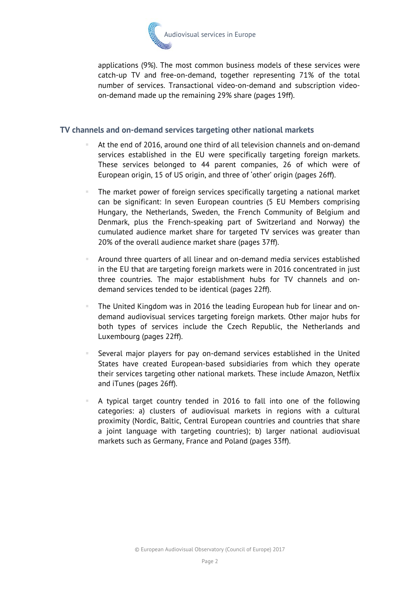

applications (9%). The most common business models of these services were catch-up TV and free-on-demand, together representing 71% of the total number of services. Transactional video-on-demand and subscription videoon-demand made up the remaining 29% share (pages 19ff).

#### **TV channels and on-demand services targeting other national markets**

- At the end of 2016, around one third of all television channels and on-demand services established in the EU were specifically targeting foreign markets. These services belonged to 44 parent companies, 26 of which were of European origin, 15 of US origin, and three of 'other' origin (pages 26ff).
- The market power of foreign services specifically targeting a national market can be significant: In seven European countries (5 EU Members comprising Hungary, the Netherlands, Sweden, the French Community of Belgium and Denmark, plus the French-speaking part of Switzerland and Norway) the cumulated audience market share for targeted TV services was greater than 20% of the overall audience market share (pages 37ff).
- Around three quarters of all linear and on-demand media services established in the EU that are targeting foreign markets were in 2016 concentrated in just three countries. The major establishment hubs for TV channels and ondemand services tended to be identical (pages 22ff).
- The United Kingdom was in 2016 the leading European hub for linear and ondemand audiovisual services targeting foreign markets. Other major hubs for both types of services include the Czech Republic, the Netherlands and Luxembourg (pages 22ff).
- Several major players for pay on-demand services established in the United States have created European-based subsidiaries from which they operate their services targeting other national markets. These include Amazon, Netflix and iTunes (pages 26ff).
- A typical target country tended in 2016 to fall into one of the following categories: a) clusters of audiovisual markets in regions with a cultural proximity (Nordic, Baltic, Central European countries and countries that share a joint language with targeting countries); b) larger national audiovisual markets such as Germany, France and Poland (pages 33ff).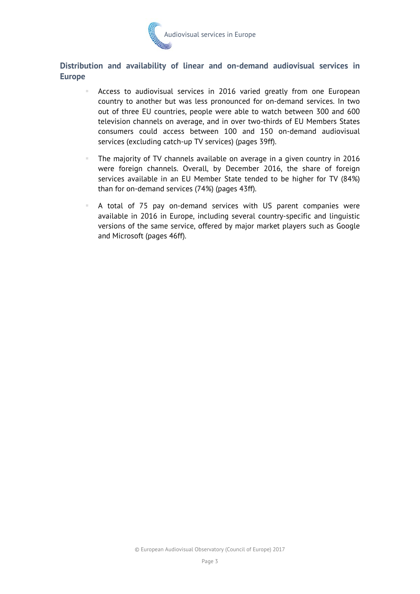

#### **Distribution and availability of linear and on-demand audiovisual services in Europe**

- Access to audiovisual services in 2016 varied greatly from one European country to another but was less pronounced for on-demand services. In two out of three EU countries, people were able to watch between 300 and 600 television channels on average, and in over two-thirds of EU Members States consumers could access between 100 and 150 on-demand audiovisual services (excluding catch-up TV services) (pages 39ff).
- The majority of TV channels available on average in a given country in 2016 were foreign channels. Overall, by December 2016, the share of foreign services available in an EU Member State tended to be higher for TV (84%) than for on-demand services (74%) (pages 43ff).
- A total of 75 pay on-demand services with US parent companies were available in 2016 in Europe, including several country-specific and linguistic versions of the same service, offered by major market players such as Google and Microsoft (pages 46ff).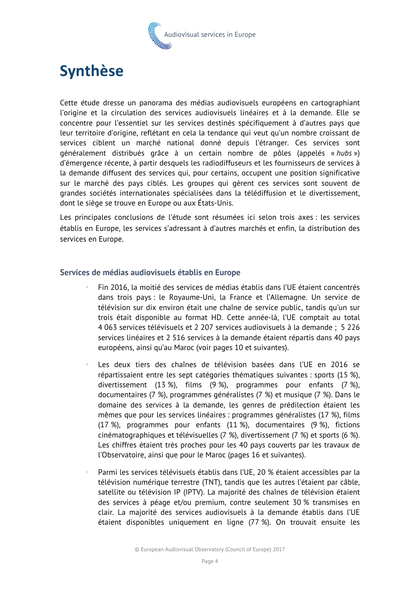

# <span id="page-11-0"></span>**Synthèse**

Cette étude dresse un panorama des médias audiovisuels européens en cartographiant l'origine et la circulation des services audiovisuels linéaires et à la demande. Elle se concentre pour l'essentiel sur les services destinés spécifiquement à d'autres pays que leur territoire d'origine, reflétant en cela la tendance qui veut qu'un nombre croissant de services ciblent un marché national donné depuis l'étranger. Ces services sont généralement distribués grâce à un certain nombre de pôles (appelés « *hubs* ») d'émergence récente, à partir desquels les radiodiffuseurs et les fournisseurs de services à la demande diffusent des services qui, pour certains, occupent une position significative sur le marché des pays ciblés. Les groupes qui gèrent ces services sont souvent de grandes sociétés internationales spécialisées dans la télédiffusion et le divertissement, dont le siège se trouve en Europe ou aux États-Unis.

Les principales conclusions de l'étude sont résumées ici selon trois axes : les services établis en Europe, les services s'adressant à d'autres marchés et enfin, la distribution des services en Europe.

#### **Services de médias audiovisuels établis en Europe**

- Fin 2016, la moitié des services de médias établis dans l'UE étaient concentrés dans trois pays : le Royaume-Uni, la France et l'Allemagne. Un service de télévision sur dix environ était une chaîne de service public, tandis qu'un sur trois était disponible au format HD. Cette année-là, l'UE comptait au total 4 063 services télévisuels et 2 207 services audiovisuels à la demande ; 5 226 services linéaires et 2 516 services à la demande étaient répartis dans 40 pays européens, ainsi qu'au Maroc (voir pages 10 et suivantes).
- Les deux tiers des chaînes de télévision basées dans l'UE en 2016 se répartissaient entre les sept catégories thématiques suivantes : sports (15 %), divertissement (13 %), films (9 %), programmes pour enfants (7 %), documentaires (7 %), programmes généralistes (7 %) et musique (7 %). Dans le domaine des services à la demande, les genres de prédilection étaient les mêmes que pour les services linéaires : programmes généralistes (17 %), films (17 %), programmes pour enfants (11 %), documentaires (9 %), fictions cinématographiques et télévisuelles (7 %), divertissement (7 %) et sports (6 %). Les chiffres étaient très proches pour les 40 pays couverts par les travaux de l'Observatoire, ainsi que pour le Maroc (pages 16 et suivantes).
- Parmi les services télévisuels établis dans l'UE, 20 % étaient accessibles par la télévision numérique terrestre (TNT), tandis que les autres l'étaient par câble, satellite ou télévision IP (IPTV). La majorité des chaînes de télévision étaient des services à péage et/ou premium, contre seulement 30 % transmises en clair. La majorité des services audiovisuels à la demande établis dans l'UE étaient disponibles uniquement en ligne (77 %). On trouvait ensuite les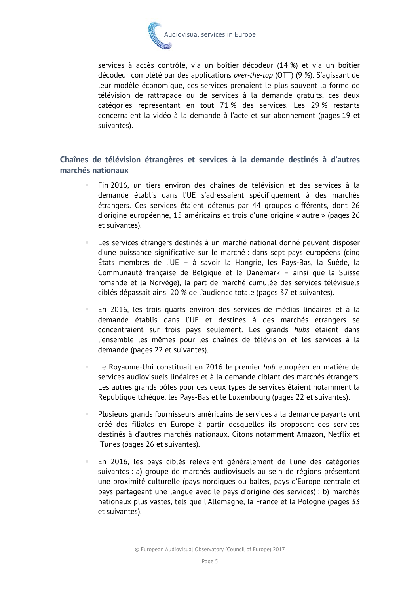

services à accès contrôlé, via un boîtier décodeur (14 %) et via un boîtier décodeur complété par des applications *over-the-top* (OTT) (9 %). S'agissant de leur modèle économique, ces services prenaient le plus souvent la forme de télévision de rattrapage ou de services à la demande gratuits, ces deux catégories représentant en tout 71 % des services. Les 29 % restants concernaient la vidéo à la demande à l'acte et sur abonnement (pages 19 et suivantes).

#### **Chaînes de télévision étrangères et services à la demande destinés à d'autres marchés nationaux**

- Fin 2016, un tiers environ des chaînes de télévision et des services à la demande établis dans l'UE s'adressaient spécifiquement à des marchés étrangers. Ces services étaient détenus par 44 groupes différents, dont 26 d'origine européenne, 15 américains et trois d'une origine « autre » (pages 26 et suivantes).
- Les services étrangers destinés à un marché national donné peuvent disposer d'une puissance significative sur le marché : dans sept pays européens (cinq États membres de l'UE – à savoir la Hongrie, les Pays-Bas, la Suède, la Communauté française de Belgique et le Danemark – ainsi que la Suisse romande et la Norvège), la part de marché cumulée des services télévisuels ciblés dépassait ainsi 20 % de l'audience totale (pages 37 et suivantes).
- En 2016, les trois quarts environ des services de médias linéaires et à la demande établis dans l'UE et destinés à des marchés étrangers se concentraient sur trois pays seulement. Les grands *hubs* étaient dans l'ensemble les mêmes pour les chaînes de télévision et les services à la demande (pages 22 et suivantes).
- Le Royaume-Uni constituait en 2016 le premier *hub* européen en matière de services audiovisuels linéaires et à la demande ciblant des marchés étrangers. Les autres grands pôles pour ces deux types de services étaient notamment la République tchèque, les Pays-Bas et le Luxembourg (pages 22 et suivantes).
- Plusieurs grands fournisseurs américains de services à la demande payants ont créé des filiales en Europe à partir desquelles ils proposent des services destinés à d'autres marchés nationaux. Citons notamment Amazon, Netflix et iTunes (pages 26 et suivantes).
- En 2016, les pays ciblés relevaient généralement de l'une des catégories suivantes : a) groupe de marchés audiovisuels au sein de régions présentant une proximité culturelle (pays nordiques ou baltes, pays d'Europe centrale et pays partageant une langue avec le pays d'origine des services) ; b) marchés nationaux plus vastes, tels que l'Allemagne, la France et la Pologne (pages 33 et suivantes).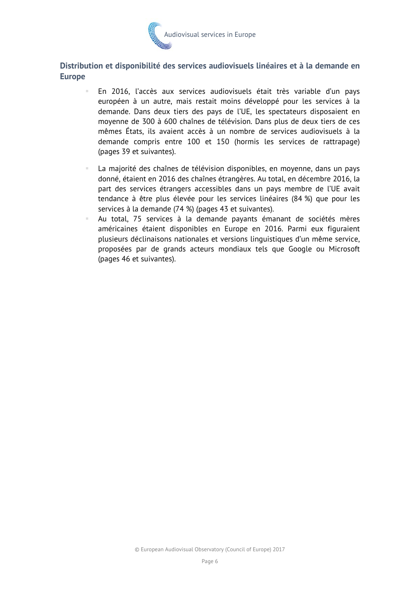

#### **Distribution et disponibilité des services audiovisuels linéaires et à la demande en Europe**

- En 2016, l'accès aux services audiovisuels était très variable d'un pays européen à un autre, mais restait moins développé pour les services à la demande. Dans deux tiers des pays de l'UE, les spectateurs disposaient en moyenne de 300 à 600 chaînes de télévision. Dans plus de deux tiers de ces mêmes États, ils avaient accès à un nombre de services audiovisuels à la demande compris entre 100 et 150 (hormis les services de rattrapage) (pages 39 et suivantes).
- La majorité des chaînes de télévision disponibles, en moyenne, dans un pays donné, étaient en 2016 des chaînes étrangères. Au total, en décembre 2016, la part des services étrangers accessibles dans un pays membre de l'UE avait tendance à être plus élevée pour les services linéaires (84 %) que pour les services à la demande (74 %) (pages 43 et suivantes).
- Au total, 75 services à la demande payants émanant de sociétés mères américaines étaient disponibles en Europe en 2016. Parmi eux figuraient plusieurs déclinaisons nationales et versions linguistiques d'un même service, proposées par de grands acteurs mondiaux tels que Google ou Microsoft (pages 46 et suivantes).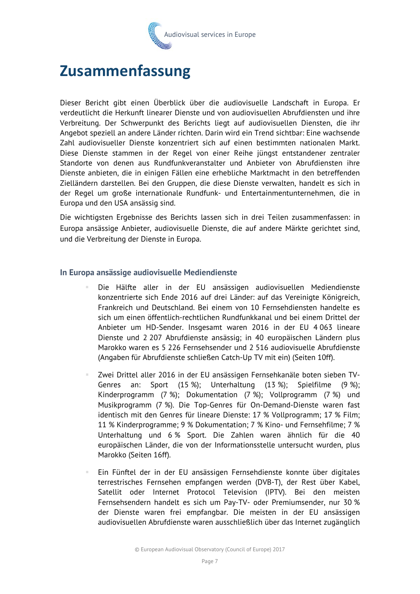

# <span id="page-14-0"></span>**Zusammenfassung**

Dieser Bericht gibt einen Überblick über die audiovisuelle Landschaft in Europa. Er verdeutlicht die Herkunft linearer Dienste und von audiovisuellen Abrufdiensten und ihre Verbreitung. Der Schwerpunkt des Berichts liegt auf audiovisuellen Diensten, die ihr Angebot speziell an andere Länder richten. Darin wird ein Trend sichtbar: Eine wachsende Zahl audiovisueller Dienste konzentriert sich auf einen bestimmten nationalen Markt. Diese Dienste stammen in der Regel von einer Reihe jüngst entstandener zentraler Standorte von denen aus Rundfunkveranstalter und Anbieter von Abrufdiensten ihre Dienste anbieten, die in einigen Fällen eine erhebliche Marktmacht in den betreffenden Zielländern darstellen. Bei den Gruppen, die diese Dienste verwalten, handelt es sich in der Regel um große internationale Rundfunk- und Entertainmentunternehmen, die in Europa und den USA ansässig sind.

Die wichtigsten Ergebnisse des Berichts lassen sich in drei Teilen zusammenfassen: in Europa ansässige Anbieter, audiovisuelle Dienste, die auf andere Märkte gerichtet sind, und die Verbreitung der Dienste in Europa.

#### **In Europa ansässige audiovisuelle Mediendienste**

- Die Hälfte aller in der EU ansässigen audiovisuellen Mediendienste konzentrierte sich Ende 2016 auf drei Länder: auf das Vereinigte Königreich, Frankreich und Deutschland. Bei einem von 10 Fernsehdiensten handelte es sich um einen öffentlich-rechtlichen Rundfunkkanal und bei einem Drittel der Anbieter um HD-Sender. Insgesamt waren 2016 in der EU 4 063 lineare Dienste und 2 207 Abrufdienste ansässig; in 40 europäischen Ländern plus Marokko waren es 5 226 Fernsehsender und 2 516 audiovisuelle Abrufdienste (Angaben für Abrufdienste schließen Catch-Up TV mit ein) (Seiten 10ff).
- Zwei Drittel aller 2016 in der EU ansässigen Fernsehkanäle boten sieben TV-Genres an: Sport (15 %); Unterhaltung (13 %); Spielfilme (9 %); Kinderprogramm (7 %); Dokumentation (7 %); Vollprogramm (7 %) und Musikprogramm (7 %). Die Top-Genres für On-Demand-Dienste waren fast identisch mit den Genres für lineare Dienste: 17 % Vollprogramm; 17 % Film; 11 % Kinderprogramme; 9 % Dokumentation; 7 % Kino- und Fernsehfilme; 7 % Unterhaltung und 6 % Sport. Die Zahlen waren ähnlich für die 40 europäischen Länder, die von der Informationsstelle untersucht wurden, plus Marokko (Seiten 16ff).
- Ein Fünftel der in der EU ansässigen Fernsehdienste konnte über digitales terrestrisches Fernsehen empfangen werden (DVB-T), der Rest über Kabel, Satellit oder Internet Protocol Television (IPTV). Bei den meisten Fernsehsendern handelt es sich um Pay-TV- oder Premiumsender, nur 30 % der Dienste waren frei empfangbar. Die meisten in der EU ansässigen audiovisuellen Abrufdienste waren ausschließlich über das Internet zugänglich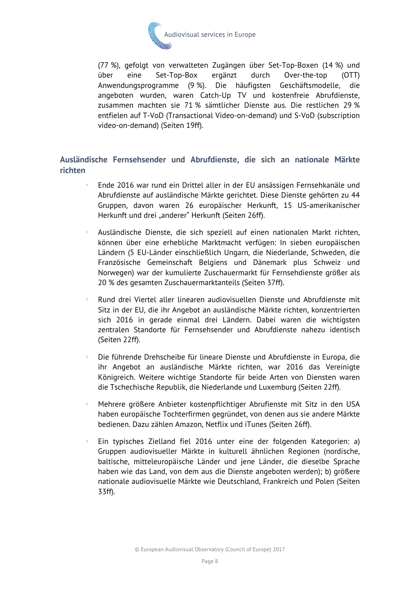

(77 %), gefolgt von verwalteten Zugängen über Set-Top-Boxen (14 %) und über eine Set-Top-Box ergänzt durch Over-the-top (OTT) Anwendungsprogramme (9 %). Die häufigsten Geschäftsmodelle, die angeboten wurden, waren Catch-Up TV und kostenfreie Abrufdienste, zusammen machten sie 71 % sämtlicher Dienste aus. Die restlichen 29 % entfielen auf T-VoD (Transactional Video-on-demand) und S-VoD (subscription video-on-demand) (Seiten 19ff).

#### **Ausländische Fernsehsender und Abrufdienste, die sich an nationale Märkte richten**

- Ende 2016 war rund ein Drittel aller in der EU ansässigen Fernsehkanäle und Abrufdienste auf ausländische Märkte gerichtet. Diese Dienste gehörten zu 44 Gruppen, davon waren 26 europäischer Herkunft, 15 US-amerikanischer Herkunft und drei "anderer" Herkunft (Seiten 26ff).
- Ausländische Dienste, die sich speziell auf einen nationalen Markt richten, können über eine erhebliche Marktmacht verfügen: In sieben europäischen Ländern (5 EU-Länder einschließlich Ungarn, die Niederlande, Schweden, die Französische Gemeinschaft Belgiens und Dänemark plus Schweiz und Norwegen) war der kumulierte Zuschauermarkt für Fernsehdienste größer als 20 % des gesamten Zuschauermarktanteils (Seiten 37ff).
- Rund drei Viertel aller linearen audiovisuellen Dienste und Abrufdienste mit Sitz in der EU, die ihr Angebot an ausländische Märkte richten, konzentrierten sich 2016 in gerade einmal drei Ländern. Dabei waren die wichtigsten zentralen Standorte für Fernsehsender und Abrufdienste nahezu identisch (Seiten 22ff).
- Die führende Drehscheibe für lineare Dienste und Abrufdienste in Europa, die ihr Angebot an ausländische Märkte richten, war 2016 das Vereinigte Königreich. Weitere wichtige Standorte für beide Arten von Diensten waren die Tschechische Republik, die Niederlande und Luxemburg (Seiten 22ff).
- Mehrere größere Anbieter kostenpflichtiger Abrufienste mit Sitz in den USA haben europäische Tochterfirmen gegründet, von denen aus sie andere Märkte bedienen. Dazu zählen Amazon, Netflix und iTunes (Seiten 26ff).
- Ein typisches Zielland fiel 2016 unter eine der folgenden Kategorien: a) Gruppen audiovisueller Märkte in kulturell ähnlichen Regionen (nordische, baltische, mitteleuropäische Länder und jene Länder, die dieselbe Sprache haben wie das Land, von dem aus die Dienste angeboten werden); b) größere nationale audiovisuelle Märkte wie Deutschland, Frankreich und Polen (Seiten 33ff).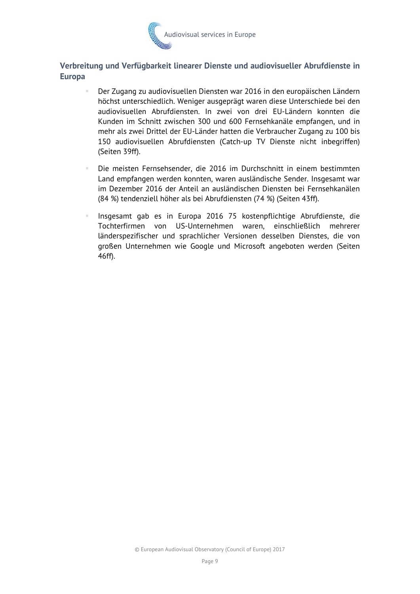

#### **Verbreitung und Verfügbarkeit linearer Dienste und audiovisueller Abrufdienste in Europa**

- Der Zugang zu audiovisuellen Diensten war 2016 in den europäischen Ländern höchst unterschiedlich. Weniger ausgeprägt waren diese Unterschiede bei den audiovisuellen Abrufdiensten. In zwei von drei EU-Ländern konnten die Kunden im Schnitt zwischen 300 und 600 Fernsehkanäle empfangen, und in mehr als zwei Drittel der EU-Länder hatten die Verbraucher Zugang zu 100 bis 150 audiovisuellen Abrufdiensten (Catch-up TV Dienste nicht inbegriffen) (Seiten 39ff).
- Die meisten Fernsehsender, die 2016 im Durchschnitt in einem bestimmten Land empfangen werden konnten, waren ausländische Sender. Insgesamt war im Dezember 2016 der Anteil an ausländischen Diensten bei Fernsehkanälen (84 %) tendenziell höher als bei Abrufdiensten (74 %) (Seiten 43ff).
- Insgesamt gab es in Europa 2016 75 kostenpflichtige Abrufdienste, die Tochterfirmen von US-Unternehmen waren, einschließlich mehrerer länderspezifischer und sprachlicher Versionen desselben Dienstes, die von großen Unternehmen wie Google und Microsoft angeboten werden (Seiten 46ff).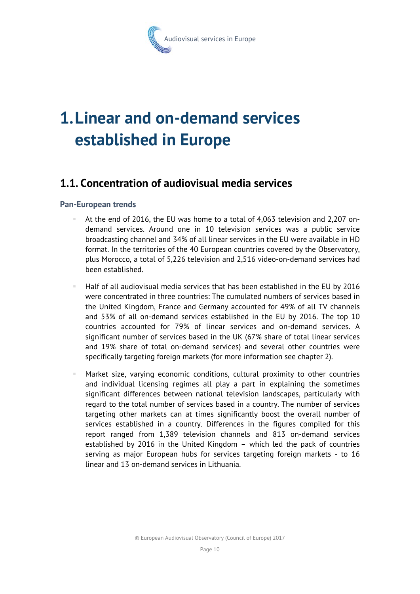

# <span id="page-17-0"></span>**1.Linear and on-demand services established in Europe**

### <span id="page-17-1"></span>**1.1. Concentration of audiovisual media services**

#### **Pan-European trends**

- At the end of 2016, the EU was home to a total of 4,063 television and 2,207 ondemand services. Around one in 10 television services was a public service broadcasting channel and 34% of all linear services in the EU were available in HD format. In the territories of the 40 European countries covered by the Observatory, plus Morocco, a total of 5,226 television and 2,516 video-on-demand services had been established.
- Half of all audiovisual media services that has been established in the EU by 2016 were concentrated in three countries: The cumulated numbers of services based in the United Kingdom, France and Germany accounted for 49% of all TV channels and 53% of all on-demand services established in the EU by 2016. The top 10 countries accounted for 79% of linear services and on-demand services. A significant number of services based in the UK (67% share of total linear services and 19% share of total on-demand services) and several other countries were specifically targeting foreign markets (for more information see chapter 2).
- Market size, varying economic conditions, cultural proximity to other countries and individual licensing regimes all play a part in explaining the sometimes significant differences between national television landscapes, particularly with regard to the total number of services based in a country. The number of services targeting other markets can at times significantly boost the overall number of services established in a country. Differences in the figures compiled for this report ranged from 1,389 television channels and 813 on-demand services established by 2016 in the United Kingdom – which led the pack of countries serving as major European hubs for services targeting foreign markets - to 16 linear and 13 on-demand services in Lithuania.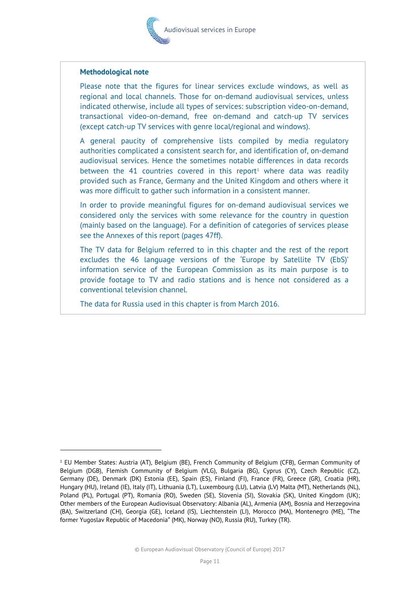#### **Methodological note**

-

Please note that the figures for linear services exclude windows, as well as regional and local channels. Those for on-demand audiovisual services, unless indicated otherwise, include all types of services: subscription video-on-demand, transactional video-on-demand, free on-demand and catch-up TV services (except catch-up TV services with genre local/regional and windows).

A general paucity of comprehensive lists compiled by media regulatory authorities complicated a consistent search for, and identification of, on-demand audiovisual services. Hence the sometimes notable differences in data records between the 4[1](#page-18-0) countries covered in this report<sup>1</sup> where data was readily provided such as France, Germany and the United Kingdom and others where it was more difficult to gather such information in a consistent manner.

In order to provide meaningful figures for on-demand audiovisual services we considered only the services with some relevance for the country in question (mainly based on the language). For a definition of categories of services please see the Annexes of this report (pages 47ff).

The TV data for Belgium referred to in this chapter and the rest of the report excludes the 46 language versions of the 'Europe by Satellite TV (EbS)' information service of the European Commission as its main purpose is to provide footage to TV and radio stations and is hence not considered as a conventional television channel.

The data for Russia used in this chapter is from March 2016.

<span id="page-18-0"></span><sup>1</sup> EU Member States: Austria (AT), Belgium (BE), French Community of Belgium (CFB), German Community of Belgium (DGB), Flemish Community of Belgium (VLG), Bulgaria (BG), Cyprus (CY), Czech Republic (CZ), Germany (DE), Denmark (DK) Estonia (EE), Spain (ES), Finland (FI), France (FR), Greece (GR), Croatia (HR), Hungary (HU), Ireland (IE), Italy (IT), Lithuania (LT), Luxembourg (LU), Latvia (LV) Malta (MT), Netherlands (NL), Poland (PL), Portugal (PT), Romania (RO), Sweden (SE), Slovenia (SI), Slovakia (SK), United Kingdom (UK); Other members of the European Audiovisual Observatory: Albania (AL), Armenia (AM), Bosnia and Herzegovina (BA), Switzerland (CH), Georgia (GE), Iceland (IS), Liechtenstein (LI), Morocco (MA), Montenegro (ME), "The former Yugoslav Republic of Macedonia" (MK), Norway (NO), Russia (RU), Turkey (TR).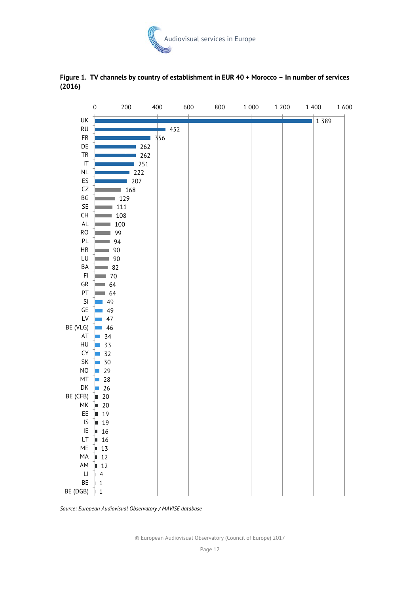

**Figure 1. TV channels by country of establishment in EUR 40 + Morocco – In number of services (2016)**

<span id="page-19-0"></span>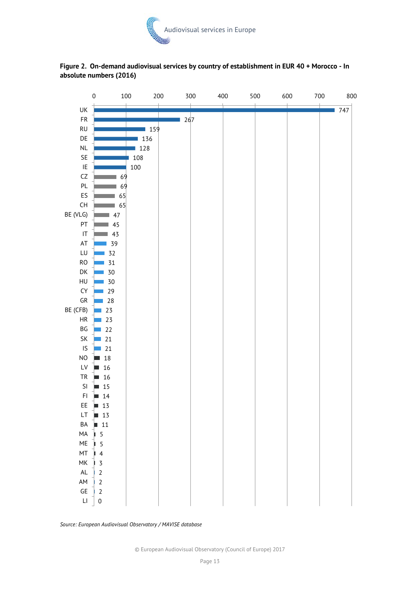

<span id="page-20-0"></span>

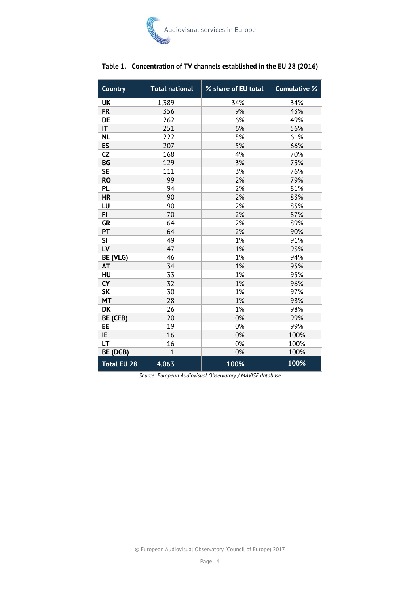

| <b>Country</b>     | <b>Total national</b> | % share of EU total | <b>Cumulative %</b> |
|--------------------|-----------------------|---------------------|---------------------|
| <b>UK</b>          | 1,389                 | 34%                 | 34%                 |
| <b>FR</b>          | 356                   | 9%                  | 43%                 |
| <b>DE</b>          | 262                   | 6%                  | 49%                 |
| IT                 | 251                   | 6%                  | 56%                 |
| <b>NL</b>          | 222                   | 5%                  | 61%                 |
| ES                 | 207                   | 5%                  | 66%                 |
| <b>CZ</b>          | 168                   | 4%                  | 70%                 |
| <b>BG</b>          | 129                   | 3%                  | 73%                 |
| <b>SE</b>          | 111                   | 3%                  | 76%                 |
| <b>RO</b>          | 99                    | 2%                  | 79%                 |
| PL                 | 94                    | 2%                  | 81%                 |
| <b>HR</b>          | 90                    | 2%                  | 83%                 |
| LU                 | 90                    | 2%                  | 85%                 |
| <b>FI</b>          | 70                    | 2%                  | 87%                 |
| <b>GR</b>          | 64                    | 2%                  | 89%                 |
| PT                 | 64                    | 2%                  | 90%                 |
| <b>SI</b>          | 49                    | 1%                  | 91%                 |
| LV                 | 47                    | 1%                  | 93%                 |
| BE (VLG)           | 46                    | 1%                  | 94%                 |
| <b>AT</b>          | 34                    | 1%                  | 95%                 |
| HU                 | 33                    | 1%                  | 95%                 |
| <b>CY</b>          | 32                    | 1%                  | 96%                 |
| <b>SK</b>          | 30                    | 1%                  | 97%                 |
| <b>MT</b>          | 28                    | 1%                  | 98%                 |
| <b>DK</b>          | 26                    | 1%                  | 98%                 |
| BE (CFB)           | 20                    | 0%                  | 99%                 |
| EE                 | 19                    | 0%                  | 99%                 |
| IE                 | 16                    | 0%                  | 100%                |
| LT                 | 16                    | 0%                  | 100%                |
| BE (DGB)           | $\overline{1}$        | 0%                  | 100%                |
| <b>Total EU 28</b> | 4,063                 | 100%                | 100%                |

#### <span id="page-21-0"></span>**Table 1. Concentration of TV channels established in the EU 28 (2016)**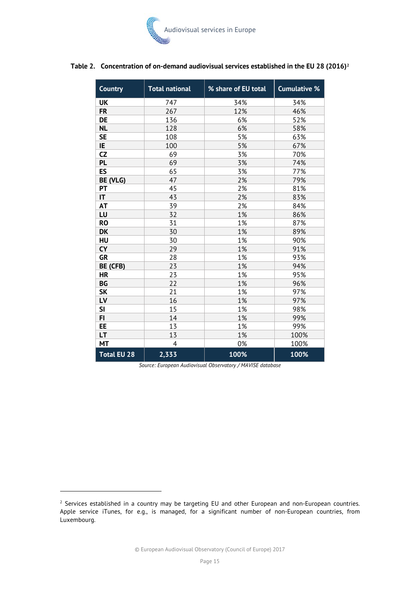

<span id="page-22-0"></span>

|  | Table 2. Concentration of on-demand audiovisual services established in the EU 28 $(2016)^2$ |  |  |  |  |  |  |  |
|--|----------------------------------------------------------------------------------------------|--|--|--|--|--|--|--|
|--|----------------------------------------------------------------------------------------------|--|--|--|--|--|--|--|

| <b>Country</b>     | <b>Total national</b> | % share of EU total | <b>Cumulative %</b> |
|--------------------|-----------------------|---------------------|---------------------|
| UK                 | 747                   | 34%                 | 34%                 |
| <b>FR</b>          | 267                   | 12%                 | 46%                 |
| DE                 | 136                   | 6%                  | 52%                 |
| <b>NL</b>          | 128                   | 6%                  | 58%                 |
| <b>SE</b>          | 108                   | 5%                  | 63%                 |
| IE.                | 100                   | 5%                  | 67%                 |
| <b>CZ</b>          | 69                    | 3%                  | 70%                 |
| <b>PL</b>          | 69                    | 3%                  | 74%                 |
| ES                 | 65                    | 3%                  | 77%                 |
| BE (VLG)           | 47                    | 2%                  | 79%                 |
| PT                 | 45                    | 2%                  | 81%                 |
| IT                 | 43                    | 2%                  | 83%                 |
| <b>AT</b>          | 39                    | 2%                  | 84%                 |
| LU                 | 32                    | 1%                  | 86%                 |
| <b>RO</b>          | 31                    | 1%                  | 87%                 |
| <b>DK</b>          | 30                    | 1%                  | 89%                 |
| HU                 | 30                    | 1%                  | 90%                 |
| <b>CY</b>          | 29                    | 1%                  | 91%                 |
| <b>GR</b>          | 28                    | 1%                  | 93%                 |
| BE (CFB)           | 23                    | 1%                  | 94%                 |
| <b>HR</b>          | 23                    | 1%                  | 95%                 |
| BG                 | 22                    | 1%                  | 96%                 |
| <b>SK</b>          | 21                    | 1%                  | 97%                 |
| LV                 | 16                    | 1%                  | 97%                 |
| <b>SI</b>          | 15                    | 1%                  | 98%                 |
| FI.                | 14                    | 1%                  | 99%                 |
| EE                 | 13                    | 1%                  | 99%                 |
| LT                 | 13                    | 1%                  | 100%                |
| <b>MT</b>          | 4                     | 0%                  | 100%                |
| <b>Total EU 28</b> | 2,333                 | 100%                | 100%                |

*Source: European Audiovisual Observatory / MAVISE database*

1

<span id="page-22-1"></span><sup>&</sup>lt;sup>2</sup> Services established in a country may be targeting EU and other European and non-European countries. Apple service iTunes, for e.g., is managed, for a significant number of non-European countries, from Luxembourg.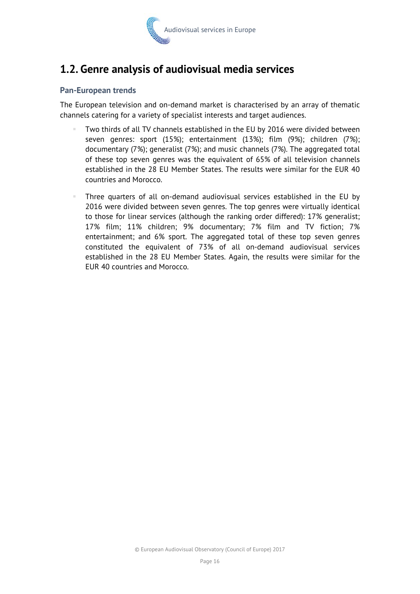

## <span id="page-23-0"></span>**1.2. Genre analysis of audiovisual media services**

#### **Pan-European trends**

The European television and on-demand market is characterised by an array of thematic channels catering for a variety of specialist interests and target audiences.

- Two thirds of all TV channels established in the EU by 2016 were divided between seven genres: sport (15%); entertainment (13%); film (9%); children (7%); documentary (7%); generalist (7%); and music channels (7%). The aggregated total of these top seven genres was the equivalent of 65% of all television channels established in the 28 EU Member States. The results were similar for the EUR 40 countries and Morocco.
- Three quarters of all on-demand audiovisual services established in the EU by 2016 were divided between seven genres. The top genres were virtually identical to those for linear services (although the ranking order differed): 17% generalist; 17% film; 11% children; 9% documentary; 7% film and TV fiction; 7% entertainment; and 6% sport. The aggregated total of these top seven genres constituted the equivalent of 73% of all on-demand audiovisual services established in the 28 EU Member States. Again, the results were similar for the EUR 40 countries and Morocco.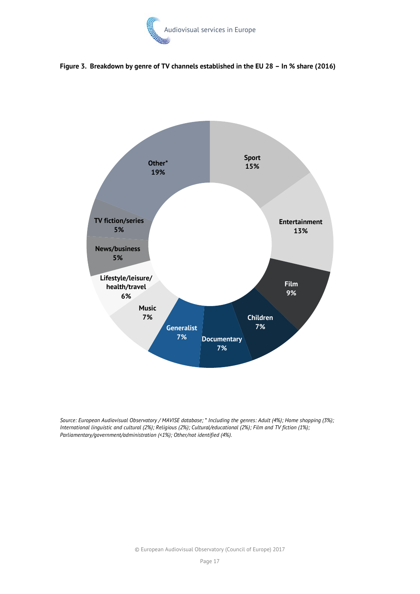

<span id="page-24-0"></span>



*Source: European Audiovisual Observatory / MAVISE database; \* Including the genres: Adult (4%); Home shopping (3%); International linguistic and cultural (2%); Religious (2%); Cultural/educational (2%); Film and TV fiction (1%); Parliamentary/government/administration (<1%); Other/not identified (4%).*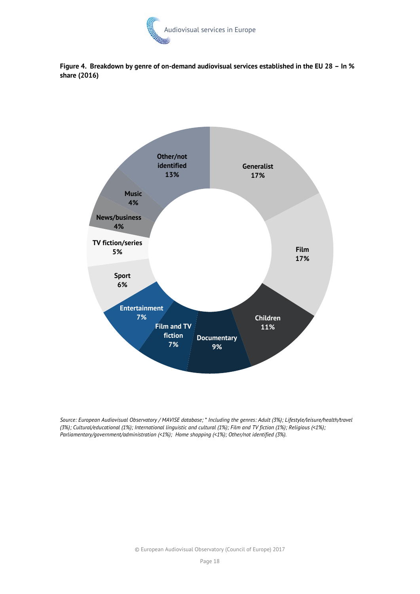

<span id="page-25-0"></span>**Figure 4. Breakdown by genre of on-demand audiovisual services established in the EU 28 – In % share (2016)**



*Source: European Audiovisual Observatory / MAVISE database; \* Including the genres: Adult (3%); Lifestyle/leisure/health/travel (3%); Cultural/educational (1%); International linguistic and cultural (1%); Film and TV fiction (1%); Religious (<1%); Parliamentary/government/administration (<1%); Home shopping (<1%); Other/not identified (3%).*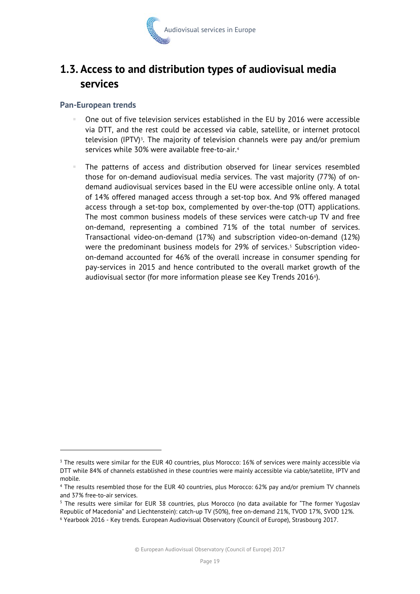

# <span id="page-26-0"></span>**1.3. Access to and distribution types of audiovisual media services**

#### **Pan-European trends**

-

- One out of five television services established in the EU by 2016 were accessible via DTT, and the rest could be accessed via cable, satellite, or internet protocol television (IPTV)<sup>3</sup>. The majority of television channels were pay and/or premium services while 30% were available free-to-air.[4](#page-26-2)
- The patterns of access and distribution observed for linear services resembled those for on-demand audiovisual media services. The vast majority (77%) of ondemand audiovisual services based in the EU were accessible online only. A total of 14% offered managed access through a set-top box. And 9% offered managed access through a set-top box, complemented by over-the-top (OTT) applications. The most common business models of these services were catch-up TV and free on-demand, representing a combined 71% of the total number of services. Transactional video-on-demand (17%) and subscription video-on-demand (12%) were the predominant business models for 29% of services.<sup>[5](#page-26-3)</sup> Subscription videoon-demand accounted for 46% of the overall increase in consumer spending for pay-services in 2015 and hence contributed to the overall market growth of the audiovisual sector (for more information please see Key Trends 201[6](#page-26-4)<sup>6</sup>).

<span id="page-26-1"></span><sup>&</sup>lt;sup>3</sup> The results were similar for the EUR 40 countries, plus Morocco: 16% of services were mainly accessible via DTT while 84% of channels established in these countries were mainly accessible via cable/satellite, IPTV and mobile.

<span id="page-26-2"></span><sup>4</sup> The results resembled those for the EUR 40 countries, plus Morocco: 62% pay and/or premium TV channels and 37% free-to-air services.

<span id="page-26-4"></span><span id="page-26-3"></span><sup>&</sup>lt;sup>5</sup> The results were similar for EUR 38 countries, plus Morocco (no data available for "The former Yugoslav Republic of Macedonia" and Liechtenstein): catch-up TV (50%), free on-demand 21%, TVOD 17%, SVOD 12%. 6 Yearbook 2016 - Key trends. European Audiovisual Observatory (Council of Europe), Strasbourg 2017.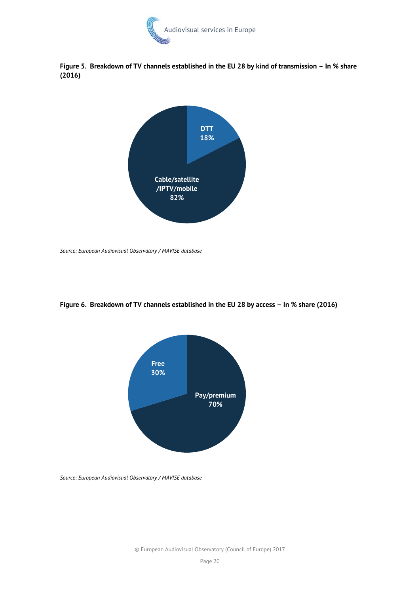

<span id="page-27-0"></span>**Figure 5. Breakdown of TV channels established in the EU 28 by kind of transmission – In % share (2016)**



*Source: European Audiovisual Observatory / MAVISE database*

#### <span id="page-27-1"></span>**Figure 6. Breakdown of TV channels established in the EU 28 by access – In % share (2016)**

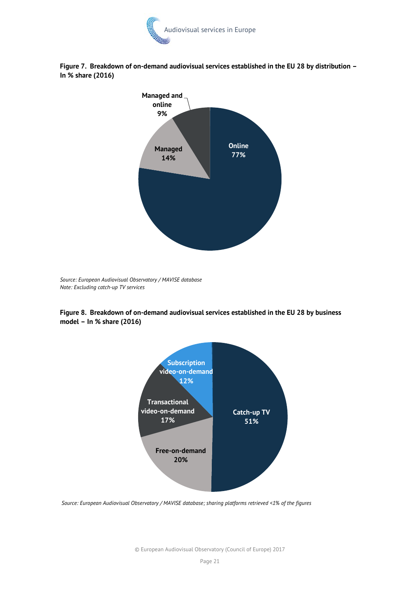

<span id="page-28-0"></span>



<span id="page-28-1"></span>*Source: European Audiovisual Observatory / MAVISE database Note: Excluding catch-up TV services*





*Source: European Audiovisual Observatory / MAVISE database; sharing platforms retrieved <1% of the figures*

© European Audiovisual Observatory (Council of Europe) 2017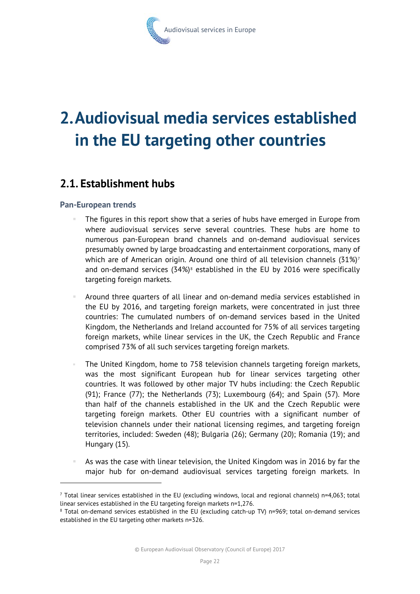# <span id="page-29-0"></span>**2.Audiovisual media services established in the EU targeting other countries**

### <span id="page-29-1"></span>**2.1. Establishment hubs**

#### **Pan-European trends**

1

- The figures in this report show that a series of hubs have emerged in Europe from where audiovisual services serve several countries. These hubs are home to numerous pan-European brand channels and on-demand audiovisual services presumably owned by large broadcasting and entertainment corporations, many of which are of American origin. Around one third of all television channels  $(31%)^7$  $(31%)^7$ and on-demand services  $(34%)^8$  $(34%)^8$  established in the EU by 2016 were specifically targeting foreign markets.
- Around three quarters of all linear and on-demand media services established in the EU by 2016, and targeting foreign markets, were concentrated in just three countries: The cumulated numbers of on-demand services based in the United Kingdom, the Netherlands and Ireland accounted for 75% of all services targeting foreign markets, while linear services in the UK, the Czech Republic and France comprised 73% of all such services targeting foreign markets.
- The United Kingdom, home to 758 television channels targeting foreign markets, was the most significant European hub for linear services targeting other countries. It was followed by other major TV hubs including: the Czech Republic (91); France (77); the Netherlands (73); Luxembourg (64); and Spain (57). More than half of the channels established in the UK and the Czech Republic were targeting foreign markets. Other EU countries with a significant number of television channels under their national licensing regimes, and targeting foreign territories, included: Sweden (48); Bulgaria (26); Germany (20); Romania (19); and Hungary (15).
- As was the case with linear television, the United Kingdom was in 2016 by far the major hub for on-demand audiovisual services targeting foreign markets. In

© European Audiovisual Observatory (Council of Europe) 2017

<span id="page-29-2"></span> $7$  Total linear services established in the EU (excluding windows, local and regional channels) n=4,063; total linear services established in the EU targeting foreign markets n=1,276.

<span id="page-29-3"></span><sup>8</sup> Total on-demand services established in the EU (excluding catch-up TV) n=969; total on-demand services established in the EU targeting other markets n=326.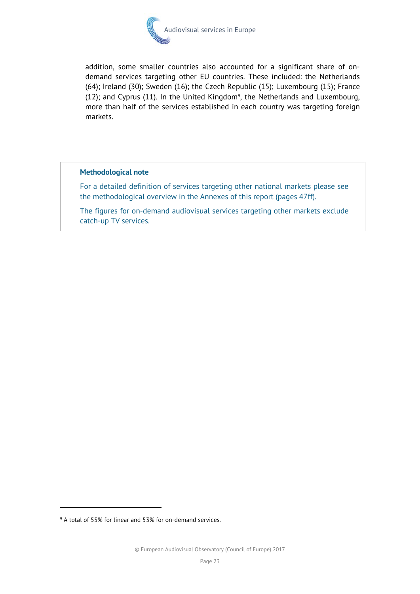

addition, some smaller countries also accounted for a significant share of ondemand services targeting other EU countries. These included: the Netherlands (64); Ireland (30); Sweden (16); the Czech Republic (15); Luxembourg (15); France (12); and Cyprus (11). In the United Kingdom[9,](#page-30-0) the Netherlands and Luxembourg, more than half of the services established in each country was targeting foreign markets.

#### **Methodological note**

For a detailed definition of services targeting other national markets please see the methodological overview in the Annexes of this report (pages 47ff).

The figures for on-demand audiovisual services targeting other markets exclude catch-up TV services.

1

<span id="page-30-0"></span><sup>9</sup> A total of 55% for linear and 53% for on-demand services.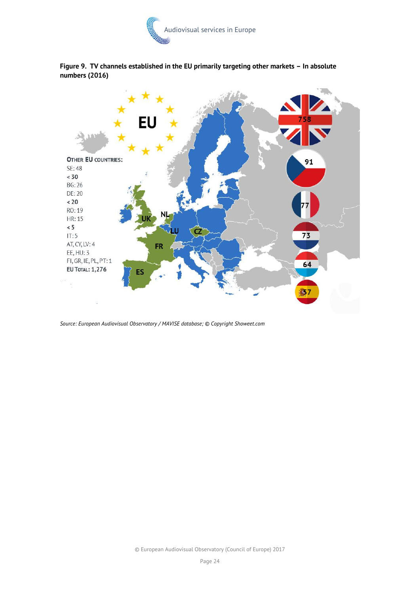

<span id="page-31-0"></span>



*Source: European Audiovisual Observatory / MAVISE database; © Copyright Showeet.com*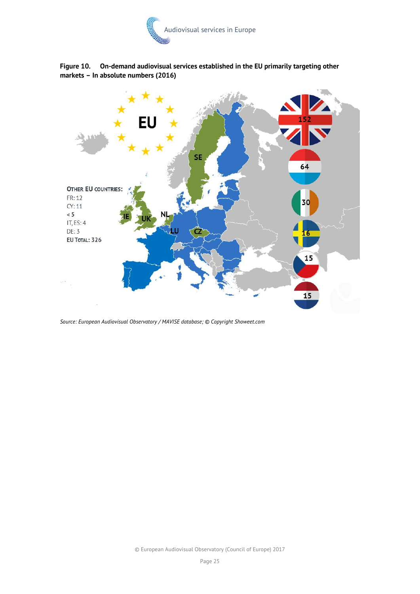

**Figure 10. On-demand audiovisual services established in the EU primarily targeting other markets – In absolute numbers (2016)**

<span id="page-32-0"></span>

*Source: European Audiovisual Observatory / MAVISE database; © Copyright Showeet.com*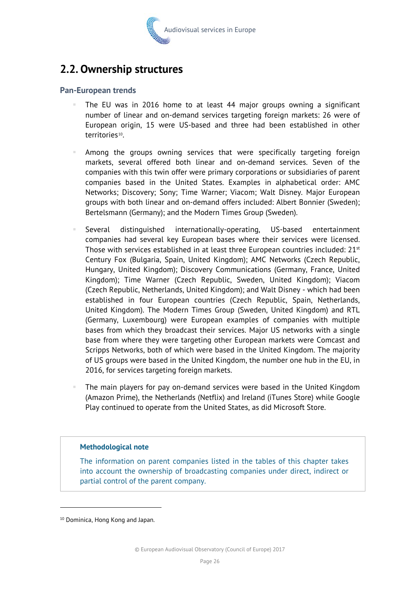## <span id="page-33-0"></span>**2.2. Ownership structures**

#### **Pan-European trends**

- The EU was in 2016 home to at least 44 major groups owning a significant number of linear and on-demand services targeting foreign markets: 26 were of European origin, 15 were US-based and three had been established in other territories<sup>10</sup>.
- Among the groups owning services that were specifically targeting foreign markets, several offered both linear and on-demand services. Seven of the companies with this twin offer were primary corporations or subsidiaries of parent companies based in the United States. Examples in alphabetical order: AMC Networks; Discovery; Sony; Time Warner; Viacom; Walt Disney. Major European groups with both linear and on-demand offers included: Albert Bonnier (Sweden); Bertelsmann (Germany); and the Modern Times Group (Sweden).
- Several distinguished internationally-operating, US-based entertainment companies had several key European bases where their services were licensed. Those with services established in at least three European countries included:  $21<sup>st</sup>$ Century Fox (Bulgaria, Spain, United Kingdom); AMC Networks (Czech Republic, Hungary, United Kingdom); Discovery Communications (Germany, France, United Kingdom); Time Warner (Czech Republic, Sweden, United Kingdom); Viacom (Czech Republic, Netherlands, United Kingdom); and Walt Disney - which had been established in four European countries (Czech Republic, Spain, Netherlands, United Kingdom). The Modern Times Group (Sweden, United Kingdom) and RTL (Germany, Luxembourg) were European examples of companies with multiple bases from which they broadcast their services. Major US networks with a single base from where they were targeting other European markets were Comcast and Scripps Networks, both of which were based in the United Kingdom. The majority of US groups were based in the United Kingdom, the number one hub in the EU, in 2016, for services targeting foreign markets.
- The main players for pay on-demand services were based in the United Kingdom (Amazon Prime), the Netherlands (Netflix) and Ireland (iTunes Store) while Google Play continued to operate from the United States, as did Microsoft Store.

#### **Methodological note**

The information on parent companies listed in the tables of this chapter takes into account the ownership of broadcasting companies under direct, indirect or partial control of the parent company.

1

<span id="page-33-1"></span><sup>10</sup> Dominica, Hong Kong and Japan.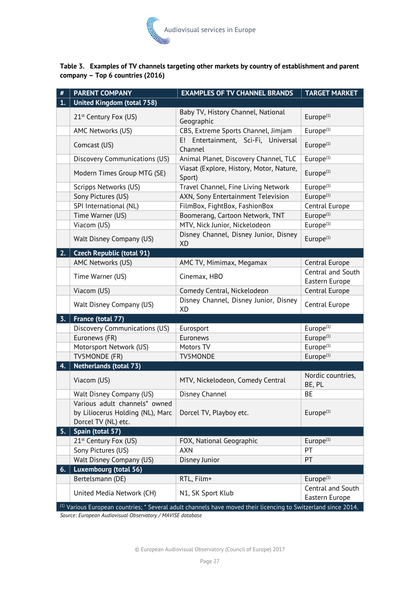#### <span id="page-34-0"></span>**Table 3. Examples of TV channels targeting other markets by country of establishment and parent company – Top 6 countries (2016)**

| #  | <b>PARENT COMPANY</b>                                                                    | <b>EXAMPLES OF TV CHANNEL BRANDS</b>                                                                               | <b>TARGET MARKET</b>                |
|----|------------------------------------------------------------------------------------------|--------------------------------------------------------------------------------------------------------------------|-------------------------------------|
| 1. | <b>United Kingdom (total 758)</b>                                                        |                                                                                                                    |                                     |
|    | 21 <sup>st</sup> Century Fox (US)                                                        | Baby TV, History Channel, National<br>Geographic                                                                   | Europe <sup>(1)</sup>               |
|    | AMC Networks (US)                                                                        | CBS, Extreme Sports Channel, Jimjam                                                                                | Europe <sup>(1)</sup>               |
|    | Comcast (US)                                                                             | E! Entertainment, Sci-Fi, Universal<br>Channel                                                                     | Europe <sup>(1)</sup>               |
|    | <b>Discovery Communications (US)</b>                                                     | Animal Planet, Discovery Channel, TLC                                                                              | Europe <sup>(1)</sup>               |
|    | Modern Times Group MTG (SE)                                                              | Viasat (Explore, History, Motor, Nature,<br>Sport)                                                                 | Europe <sup>(1)</sup>               |
|    | Scripps Networks (US)                                                                    | Travel Channel, Fine Living Network                                                                                | Europe <sup>(1)</sup>               |
|    | Sony Pictures (US)                                                                       | AXN, Sony Entertainment Television                                                                                 | Europe <sup>(1)</sup>               |
|    | SPI International (NL)                                                                   | FilmBox, FightBox, FashionBox                                                                                      | Central Europe                      |
|    | Time Warner (US)                                                                         | Boomerang, Cartoon Network, TNT                                                                                    | Europe <sup>(1)</sup>               |
|    | Viacom (US)                                                                              | MTV, Nick Junior, Nickelodeon                                                                                      | Europe <sup>(1)</sup>               |
|    | Walt Disney Company (US)                                                                 | Disney Channel, Disney Junior, Disney<br><b>XD</b>                                                                 | Europe <sup>(1)</sup>               |
| 2. | <b>Czech Republic (total 91)</b>                                                         |                                                                                                                    |                                     |
|    | AMC Networks (US)                                                                        | AMC TV, Mimimax, Megamax                                                                                           | Central Europe                      |
|    | Time Warner (US)                                                                         | Cinemax, HBO                                                                                                       | Central and South<br>Eastern Europe |
|    | Viacom (US)                                                                              | Comedy Central, Nickelodeon                                                                                        | Central Europe                      |
|    | Walt Disney Company (US)                                                                 | Disney Channel, Disney Junior, Disney<br><b>XD</b>                                                                 | Central Europe                      |
| 3. | France (total 77)                                                                        |                                                                                                                    |                                     |
|    | Discovery Communications (US)                                                            | Eurosport                                                                                                          | Europe <sup>(1)</sup>               |
|    | Euronews (FR)                                                                            | Euronews                                                                                                           | Europe <sup>(1)</sup>               |
|    | Motorsport Network (US)                                                                  | Motors TV                                                                                                          | Europe <sup>(1)</sup>               |
|    | TV5MONDE (FR)                                                                            | TV5MONDE                                                                                                           | Europe <sup>(1)</sup>               |
| 4. | <b>Netherlands (total 73)</b>                                                            |                                                                                                                    |                                     |
|    | Viacom (US)                                                                              | MTV, Nickelodeon, Comedy Central                                                                                   | Nordic countries,<br>BE, PL         |
|    | Walt Disney Company (US)                                                                 | Disney Channel                                                                                                     | <b>BE</b>                           |
|    | Various adult channels* owned<br>by Liliocerus Holding (NL), Marc<br>Dorcel TV (NL) etc. | Dorcel TV, Playboy etc.                                                                                            | Europe $(1)$                        |
| 5. | Spain (total 57)                                                                         |                                                                                                                    |                                     |
|    | 21 <sup>st</sup> Century Fox (US)                                                        | FOX, National Geographic                                                                                           | Europe <sup>(1)</sup>               |
|    | Sony Pictures (US)                                                                       | <b>AXN</b>                                                                                                         | PT                                  |
|    | Walt Disney Company (US)                                                                 | Disney Junior                                                                                                      | PT                                  |
| 6. | Luxembourg (total 56)                                                                    |                                                                                                                    |                                     |
|    | Bertelsmann (DE)                                                                         | RTL, Film+                                                                                                         | Europe <sup>(1)</sup>               |
|    | United Media Network (CH)                                                                | N1, SK Sport Klub                                                                                                  | Central and South<br>Eastern Europe |
|    |                                                                                          | $(1)$ Various European countries; $*$ Several adult channels have moved their licencing to Switzerland since 2014. |                                     |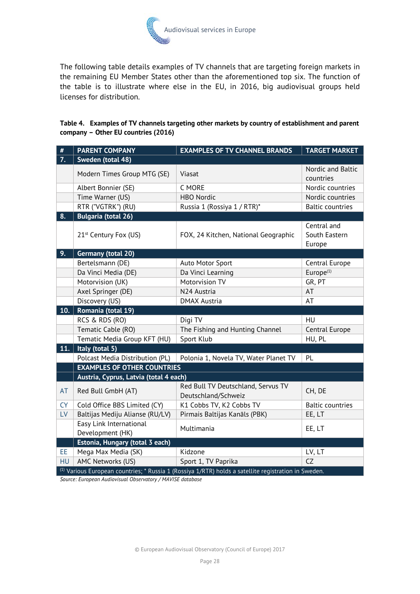

The following table details examples of TV channels that are targeting foreign markets in the remaining EU Member States other than the aforementioned top six. The function of the table is to illustrate where else in the EU, in 2016, big audiovisual groups held licenses for distribution.

#### <span id="page-35-0"></span>**Table 4. Examples of TV channels targeting other markets by country of establishment and parent company – Other EU countries (2016)**

| #         | <b>PARENT COMPANY</b>                       | <b>EXAMPLES OF TV CHANNEL BRANDS</b>                                                                            | <b>TARGET MARKET</b>                   |
|-----------|---------------------------------------------|-----------------------------------------------------------------------------------------------------------------|----------------------------------------|
| 7.        | Sweden (total 48)                           |                                                                                                                 |                                        |
|           | Modern Times Group MTG (SE)                 | Viasat                                                                                                          | Nordic and Baltic<br>countries         |
|           | Albert Bonnier (SE)                         | C MORE                                                                                                          | Nordic countries                       |
|           | Time Warner (US)                            | <b>HBO Nordic</b>                                                                                               | Nordic countries                       |
|           | RTR ("VGTRK") (RU)                          | Russia 1 (Rossiya 1 / RTR)*                                                                                     | <b>Baltic countries</b>                |
| 8.        | <b>Bulgaria (total 26)</b>                  |                                                                                                                 |                                        |
|           | 21 <sup>st</sup> Century Fox (US)           | FOX, 24 Kitchen, National Geographic                                                                            | Central and<br>South Eastern<br>Europe |
| 9.        | <b>Germany (total 20)</b>                   |                                                                                                                 |                                        |
|           | Bertelsmann (DE)                            | Auto Motor Sport                                                                                                | Central Europe                         |
|           | Da Vinci Media (DE)                         | Da Vinci Learning                                                                                               | Europe <sup>(1)</sup>                  |
|           | Motorvision (UK)                            | Motorvision TV                                                                                                  | GR, PT                                 |
|           | Axel Springer (DE)                          | N24 Austria                                                                                                     | AT                                     |
|           | Discovery (US)                              | <b>DMAX Austria</b>                                                                                             | AT                                     |
| 10.       | Romania (total 19)                          |                                                                                                                 |                                        |
|           | RCS & RDS (RO)                              | Digi TV                                                                                                         | HU                                     |
|           | Tematic Cable (RO)                          | The Fishing and Hunting Channel                                                                                 | Central Europe                         |
|           | Tematic Media Group KFT (HU)                | Sport Klub                                                                                                      | HU, PL                                 |
| 11.       | Italy (total 5)                             |                                                                                                                 |                                        |
|           | Polcast Media Distribution (PL)             | Polonia 1, Novela TV, Water Planet TV                                                                           | PL                                     |
|           | <b>EXAMPLES OF OTHER COUNTRIES</b>          |                                                                                                                 |                                        |
|           | Austria, Cyprus, Latvia (total 4 each)      |                                                                                                                 |                                        |
| AT        | Red Bull GmbH (AT)                          | Red Bull TV Deutschland, Servus TV<br>Deutschland/Schweiz                                                       | CH, DE                                 |
| <b>CY</b> | Cold Office BBS Limited (CY)                | K1 Cobbs TV, K2 Cobbs TV                                                                                        | <b>Baltic countries</b>                |
| LV        | Baltijas Mediju Alianse (RU/LV)             | Pirmais Baltijas Kanāls (PBK)                                                                                   | EE, LT                                 |
|           | Easy Link International<br>Development (HK) | Multimania                                                                                                      | EE, LT                                 |
|           | Estonia, Hungary (total 3 each)             |                                                                                                                 |                                        |
| EE        | Mega Max Media (SK)                         | Kidzone                                                                                                         | LV, LT                                 |
| HU        | AMC Networks (US)                           | Sport 1, TV Paprika                                                                                             | CZ                                     |
|           |                                             | <sup>(1)</sup> Various European countries; * Russia 1 (Rossiya 1/RTR) holds a satellite registration in Sweden. |                                        |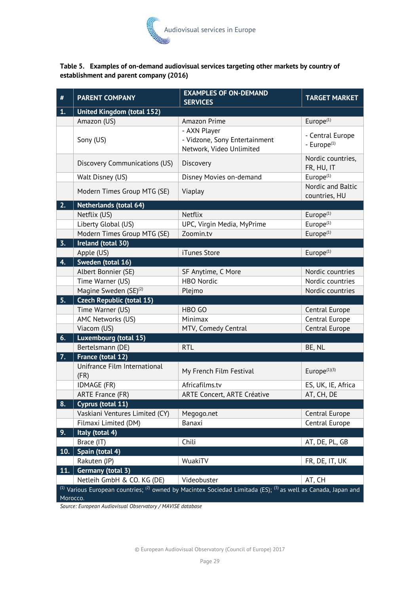#### <span id="page-36-0"></span>**Table 5. Examples of on-demand audiovisual services targeting other markets by country of establishment and parent company (2016)**

| #                | <b>PARENT COMPANY</b>                | <b>EXAMPLES OF ON-DEMAND</b><br><b>SERVICES</b>                                                                                                 | <b>TARGET MARKET</b>                        |
|------------------|--------------------------------------|-------------------------------------------------------------------------------------------------------------------------------------------------|---------------------------------------------|
| 1.               | <b>United Kingdom (total 152)</b>    |                                                                                                                                                 |                                             |
|                  | Amazon (US)                          | Amazon Prime                                                                                                                                    | Europe <sup>(1)</sup>                       |
|                  | Sony (US)                            | - AXN Player<br>- Vidzone, Sony Entertainment<br>Network, Video Unlimited                                                                       | - Central Europe<br>- Europe <sup>(1)</sup> |
|                  | Discovery Communications (US)        | Discovery                                                                                                                                       | Nordic countries,<br>FR, HU, IT             |
|                  | Walt Disney (US)                     | Disney Movies on-demand                                                                                                                         | Europe <sup>(1)</sup>                       |
|                  | Modern Times Group MTG (SE)          | Viaplay                                                                                                                                         | Nordic and Baltic<br>countries, HU          |
| 2.               | <b>Netherlands (total 64)</b>        |                                                                                                                                                 |                                             |
|                  | Netflix (US)                         | Netflix                                                                                                                                         | Europe <sup>(1)</sup>                       |
|                  | Liberty Global (US)                  | UPC, Virgin Media, MyPrime                                                                                                                      | Europe <sup>(1)</sup>                       |
|                  | Modern Times Group MTG (SE)          | Zoomin.tv                                                                                                                                       | Europe <sup>(1)</sup>                       |
| $\overline{3}$ . | Ireland (total 30)                   |                                                                                                                                                 |                                             |
|                  | Apple (US)                           | iTunes Store                                                                                                                                    | Europe <sup>(1)</sup>                       |
| 4.               | Sweden (total 16)                    |                                                                                                                                                 |                                             |
|                  | Albert Bonnier (SE)                  | SF Anytime, C More                                                                                                                              | Nordic countries                            |
|                  | Time Warner (US)                     | <b>HBO Nordic</b>                                                                                                                               | Nordic countries                            |
|                  | Magine Sweden (SE) <sup>(2)</sup>    | Plejmo                                                                                                                                          | Nordic countries                            |
| 5.               | <b>Czech Republic (total 15)</b>     |                                                                                                                                                 |                                             |
|                  | Time Warner (US)                     | HBO GO                                                                                                                                          | Central Europe                              |
|                  | AMC Networks (US)                    | Minimax                                                                                                                                         | Central Europe                              |
|                  | Viacom (US)                          | MTV, Comedy Central                                                                                                                             | Central Europe                              |
| 6.               | Luxembourg (total 15)                |                                                                                                                                                 |                                             |
|                  | Bertelsmann (DE)                     | <b>RTL</b>                                                                                                                                      | BE, NL                                      |
| 7.               | France (total 12)                    |                                                                                                                                                 |                                             |
|                  | Unifrance Film International<br>(FR) | My French Film Festival                                                                                                                         | Europe $(1)(3)$                             |
|                  | <b>IDMAGE (FR)</b>                   | Africafilms.tv                                                                                                                                  | ES, UK, IE, Africa                          |
|                  | ARTE France (FR)                     | ARTE Concert, ARTE Créative                                                                                                                     | AT, CH, DE                                  |
| 8.               | Cyprus (total 11)                    |                                                                                                                                                 |                                             |
|                  | Vaskiani Ventures Limited (CY)       | Megogo.net                                                                                                                                      | Central Europe                              |
|                  | Filmaxi Limited (DM)                 | Banaxi                                                                                                                                          | Central Europe                              |
| 9.               | Italy (total 4)                      |                                                                                                                                                 |                                             |
|                  | Brace (IT)                           | Chili                                                                                                                                           | AT, DE, PL, GB                              |
| 10.              | Spain (total 4)                      |                                                                                                                                                 |                                             |
|                  | Rakuten (JP)                         | WuakiTV                                                                                                                                         | FR, DE, IT, UK                              |
| 11.              | Germany (total 3)                    |                                                                                                                                                 |                                             |
|                  | Netleih GmbH & CO. KG (DE)           | Videobuster                                                                                                                                     | AT, CH                                      |
| Morocco.         |                                      | <sup>(1)</sup> Various European countries; <sup>(2)</sup> owned by Macintex Sociedad Limitada (ES); <sup>(3)</sup> as well as Canada, Japan and |                                             |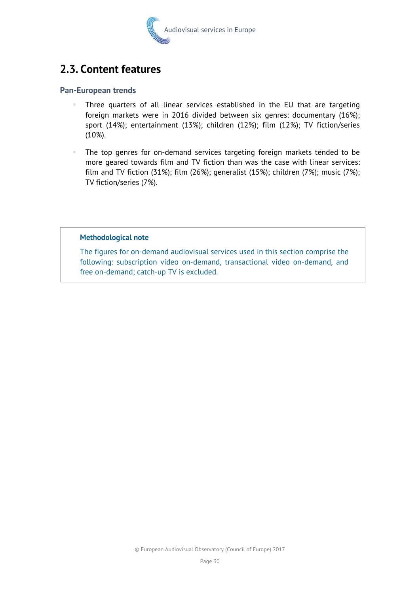

## <span id="page-37-0"></span>**2.3. Content features**

#### **Pan-European trends**

- Three quarters of all linear services established in the EU that are targeting foreign markets were in 2016 divided between six genres: documentary (16%); sport (14%); entertainment (13%); children (12%); film (12%); TV fiction/series (10%).
- The top genres for on-demand services targeting foreign markets tended to be more geared towards film and TV fiction than was the case with linear services: film and TV fiction (31%); film (26%); generalist (15%); children (7%); music (7%); TV fiction/series (7%).

#### **Methodological note**

The figures for on-demand audiovisual services used in this section comprise the following: subscription video on-demand, transactional video on-demand, and free on-demand; catch-up TV is excluded.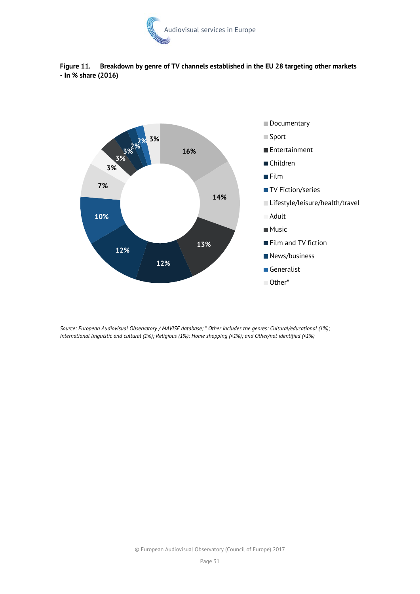

#### <span id="page-38-0"></span>**Figure 11. Breakdown by genre of TV channels established in the EU 28 targeting other markets - In % share (2016)**



*Source: European Audiovisual Observatory / MAVISE database; \* Other includes the genres: Cultural/educational (1%); International linguistic and cultural (1%); Religious (1%); Home shopping (<1%); and Other/not identified (<1%)*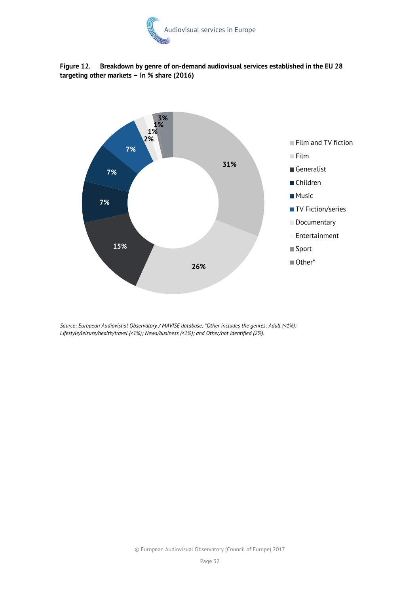

<span id="page-39-0"></span>



*Source: European Audiovisual Observatory / MAVISE database; \*Other includes the genres: Adult (<1%); Lifestyle/leisure/health/travel (<1%); News/business (<1%); and Other/not identified (2%).*

© European Audiovisual Observatory (Council of Europe) 2017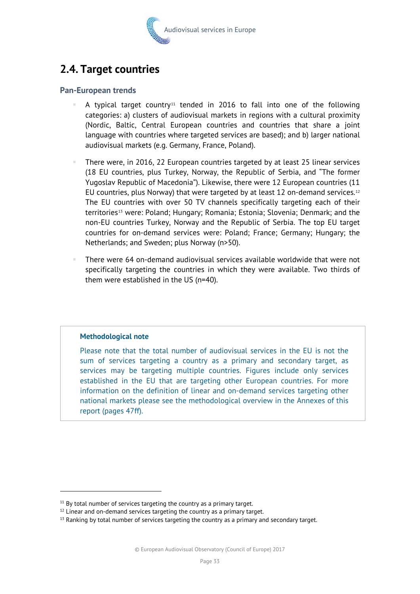

## <span id="page-40-0"></span>**2.4. Target countries**

#### **Pan-European trends**

- A typical target country<sup>[11](#page-40-1)</sup> tended in 2016 to fall into one of the following categories: a) clusters of audiovisual markets in regions with a cultural proximity (Nordic, Baltic, Central European countries and countries that share a joint language with countries where targeted services are based); and b) larger national audiovisual markets (e.g. Germany, France, Poland).
- There were, in 2016, 22 European countries targeted by at least 25 linear services (18 EU countries, plus Turkey, Norway, the Republic of Serbia, and "The former Yugoslav Republic of Macedonia"). Likewise, there were 12 European countries (11 EU countries, plus Norway) that were targeted by at least [12](#page-40-2) on-demand services.<sup>12</sup> The EU countries with over 50 TV channels specifically targeting each of their territories[13](#page-40-3) were: Poland; Hungary; Romania; Estonia; Slovenia; Denmark; and the non-EU countries Turkey, Norway and the Republic of Serbia. The top EU target countries for on-demand services were: Poland; France; Germany; Hungary; the Netherlands; and Sweden; plus Norway (n>50).
- There were 64 on-demand audiovisual services available worldwide that were not specifically targeting the countries in which they were available. Two thirds of them were established in the US (n=40).

#### **Methodological note**

1

Please note that the total number of audiovisual services in the EU is not the sum of services targeting a country as a primary and secondary target, as services may be targeting multiple countries. Figures include only services established in the EU that are targeting other European countries. For more information on the definition of linear and on-demand services targeting other national markets please see the methodological overview in the Annexes of this report (pages 47ff).

<span id="page-40-1"></span> $11$  By total number of services targeting the country as a primary target.

<span id="page-40-2"></span> $12$  Linear and on-demand services targeting the country as a primary target.

<span id="page-40-3"></span> $13$  Ranking by total number of services targeting the country as a primary and secondary target.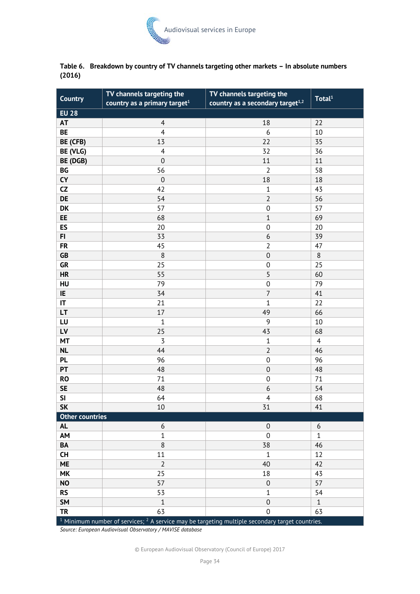

<span id="page-41-0"></span>

|        | Table 6. Breakdown by country of TV channels targeting other markets - In absolute numbers |
|--------|--------------------------------------------------------------------------------------------|
| (2016) |                                                                                            |

| <b>Country</b>         | TV channels targeting the<br>country as a primary target $1$ | TV channels targeting the<br>country as a secondary target $^{1,2}$ | Total <sup>1</sup> |
|------------------------|--------------------------------------------------------------|---------------------------------------------------------------------|--------------------|
| <b>EU 28</b>           |                                                              |                                                                     |                    |
| <b>AT</b>              | $\overline{4}$                                               | 18                                                                  | 22                 |
| <b>BE</b>              | $\overline{4}$                                               | 6                                                                   | 10                 |
| BE (CFB)               | 13                                                           | 22                                                                  | 35                 |
| BE (VLG)               | $\overline{4}$                                               | 32                                                                  | 36                 |
| BE (DGB)               | $\boldsymbol{0}$                                             | 11                                                                  | 11                 |
| BG                     | 56                                                           | $\overline{2}$                                                      | 58                 |
| <b>CY</b>              | $\boldsymbol{0}$                                             | 18                                                                  | 18                 |
| CZ                     | 42                                                           | $\mathbf{1}$                                                        | 43                 |
| DE                     | 54                                                           | $\sqrt{2}$                                                          | 56                 |
| <b>DK</b>              | 57                                                           | $\boldsymbol{0}$                                                    | 57                 |
| EE                     | 68                                                           | $\mathbf{1}$                                                        | 69                 |
| ES                     | 20                                                           | $\boldsymbol{0}$                                                    | 20                 |
| F1                     | 33                                                           | 6                                                                   | 39                 |
| <b>FR</b>              | 45                                                           | $\overline{2}$                                                      | 47                 |
| GB                     | 8                                                            | $\boldsymbol{0}$                                                    | $\,8\,$            |
| GR                     | 25                                                           | $\boldsymbol{0}$                                                    | 25                 |
| <b>HR</b>              | 55                                                           | 5                                                                   | 60                 |
| HU                     | 79                                                           | $\boldsymbol{0}$                                                    | 79                 |
| IE                     | 34                                                           | $\overline{7}$                                                      | 41                 |
| IT                     | 21                                                           | $\mathbf{1}$                                                        | 22                 |
| LT                     | 17                                                           | 49                                                                  | 66                 |
| LU                     | $\mathbf{1}$                                                 | 9                                                                   | 10                 |
| LV                     | 25                                                           | 43                                                                  | 68                 |
| <b>MT</b>              | 3                                                            | $\mathbf{1}$                                                        | $\overline{4}$     |
| <b>NL</b>              | 44                                                           | $\overline{2}$                                                      | 46                 |
| <b>PL</b>              | 96                                                           | $\boldsymbol{0}$                                                    | 96                 |
| PT                     | 48                                                           | $\boldsymbol{0}$                                                    | 48                 |
| <b>RO</b>              | 71                                                           | $\boldsymbol{0}$                                                    | 71                 |
| <b>SE</b>              | 48                                                           | 6                                                                   | 54                 |
| SI                     | 64                                                           | $\overline{4}$                                                      | 68                 |
| <b>SK</b>              | $10\,$                                                       | 31                                                                  | 41                 |
| <b>Other countries</b> |                                                              |                                                                     |                    |
| <b>AL</b>              | 6                                                            | $\overline{0}$                                                      | 6                  |
| AM                     | $\mathbf{1}$                                                 | $\mathbf 0$                                                         | $\mathbf{1}$       |
| BA                     | $\,8\,$                                                      | 38                                                                  | 46                 |
| <b>CH</b>              | 11                                                           | $\mathbf{1}$                                                        | 12                 |
| <b>ME</b>              | $\overline{2}$                                               | 40                                                                  | 42                 |
| MK                     | 25                                                           | 18                                                                  | 43                 |
| <b>NO</b>              | 57                                                           | $\boldsymbol{0}$                                                    | 57                 |
| <b>RS</b>              | 53                                                           | $\mathbf{1}$                                                        | 54                 |
| <b>SM</b>              | $1\,$                                                        | $\boldsymbol{0}$                                                    | $\mathbf{1}$       |
| <b>TR</b><br>$1 + 1$   | 63                                                           | $\boldsymbol{0}$                                                    | 63                 |

 $^1$  Minimum number of services;  $^2$  A service may be targeting multiple secondary target countries. *Source: European Audiovisual Observatory / MAVISE database*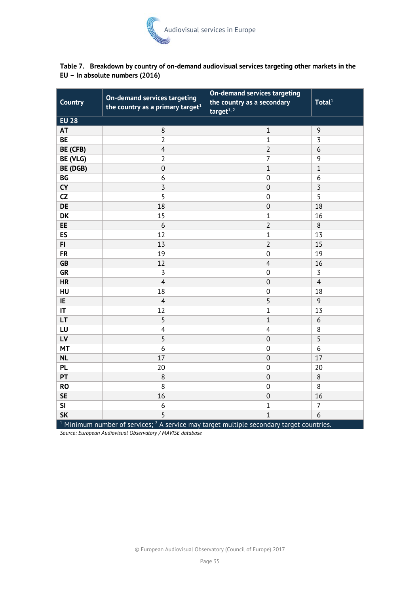

<span id="page-42-0"></span>

| Table 7.   Breakdown by country of on-demand audiovisual services targeting other markets in the |
|--------------------------------------------------------------------------------------------------|
| EU - In absolute numbers (2016)                                                                  |

| <b>Country</b>                                                                                | <b>On-demand services targeting</b><br>the country as a primary target <sup>1</sup> | <b>On-demand services targeting</b><br>the country as a secondary<br>target $1, 2$ | Total <sup>1</sup> |
|-----------------------------------------------------------------------------------------------|-------------------------------------------------------------------------------------|------------------------------------------------------------------------------------|--------------------|
| <b>EU 28</b>                                                                                  |                                                                                     |                                                                                    |                    |
| <b>AT</b>                                                                                     | 8                                                                                   | $\mathbf{1}$                                                                       | 9                  |
| BE                                                                                            | $\overline{2}$                                                                      | $\mathbf{1}$                                                                       | $\overline{3}$     |
| BE (CFB)                                                                                      | $\overline{4}$                                                                      | $\overline{2}$                                                                     | 6                  |
| BE (VLG)                                                                                      | $\overline{2}$                                                                      | $\overline{7}$                                                                     | 9                  |
| BE (DGB)                                                                                      | $\overline{0}$                                                                      | $\mathbf{1}$                                                                       | $\mathbf{1}$       |
| BG                                                                                            | 6                                                                                   | $\boldsymbol{0}$                                                                   | 6                  |
| <b>CY</b>                                                                                     | $\overline{3}$                                                                      | $\boldsymbol{0}$                                                                   | $\overline{3}$     |
| CZ                                                                                            | 5                                                                                   | $\boldsymbol{0}$                                                                   | 5                  |
| DE                                                                                            | 18                                                                                  | $\mathbf 0$                                                                        | 18                 |
| <b>DK</b>                                                                                     | 15                                                                                  | $\mathbf{1}$                                                                       | 16                 |
| EE                                                                                            | 6                                                                                   | $\overline{2}$                                                                     | $\,8\,$            |
| ES                                                                                            | 12                                                                                  | $\mathbf{1}$                                                                       | 13                 |
| FI.                                                                                           | 13                                                                                  | $\overline{2}$                                                                     | 15                 |
| <b>FR</b>                                                                                     | 19                                                                                  | $\mathbf 0$                                                                        | 19                 |
| GB                                                                                            | 12                                                                                  | $\overline{4}$                                                                     | 16                 |
| <b>GR</b>                                                                                     | $\overline{3}$                                                                      | $\mathbf 0$                                                                        | $\overline{3}$     |
| <b>HR</b>                                                                                     | $\overline{4}$                                                                      | $\mathbf 0$                                                                        | $\overline{4}$     |
| HU                                                                                            | 18                                                                                  | $\mathbf 0$                                                                        | 18                 |
| IE                                                                                            | $\overline{4}$                                                                      | 5                                                                                  | 9                  |
| IT                                                                                            | 12                                                                                  | $\mathbf 1$                                                                        | 13                 |
| LT                                                                                            | 5                                                                                   | $\mathbf{1}$                                                                       | 6                  |
| LU                                                                                            | $\overline{\mathcal{A}}$                                                            | $\overline{4}$                                                                     | 8                  |
| LV                                                                                            | 5                                                                                   | $\boldsymbol{0}$                                                                   | 5                  |
| <b>MT</b>                                                                                     | 6                                                                                   | $\boldsymbol{0}$                                                                   | 6                  |
| <b>NL</b>                                                                                     | 17                                                                                  | $\mathbf 0$                                                                        | 17                 |
| <b>PL</b>                                                                                     | 20                                                                                  | $\mathbf 0$                                                                        | 20                 |
| PT                                                                                            | 8                                                                                   | $\mathbf 0$                                                                        | $\,8\,$            |
| <b>RO</b>                                                                                     | 8                                                                                   | $\mathbf 0$                                                                        | 8                  |
| <b>SE</b>                                                                                     | 16                                                                                  | $\overline{0}$                                                                     | 16                 |
| SI                                                                                            | 6                                                                                   | $\mathbf 1$                                                                        | $\boldsymbol{7}$   |
| <b>SK</b>                                                                                     | $\overline{5}$                                                                      | $\overline{1}$                                                                     | $\overline{6}$     |
| $1$ Minimum number of services; $2$ A service may target multiple secondary target countries. |                                                                                     |                                                                                    |                    |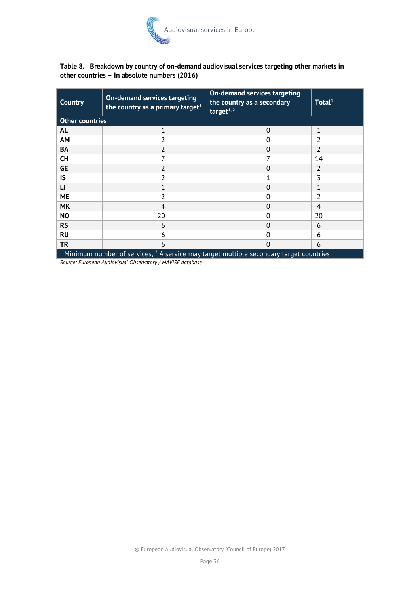

#### <span id="page-43-0"></span>**Table 8. Breakdown by country of on-demand audiovisual services targeting other markets in other countries – In absolute numbers (2016)**

| <b>Country</b>                                                                                         | <b>On-demand services targeting</b><br>the country as a primary target <sup>1</sup> | <b>On-demand services targeting</b><br>the country as a secondary<br>target <sup>1, 2</sup> | Total <sup>1</sup> |
|--------------------------------------------------------------------------------------------------------|-------------------------------------------------------------------------------------|---------------------------------------------------------------------------------------------|--------------------|
| <b>Other countries</b>                                                                                 |                                                                                     |                                                                                             |                    |
| <b>AL</b>                                                                                              | 1                                                                                   | $\Omega$                                                                                    | 1                  |
| AΜ                                                                                                     | 2                                                                                   | 0                                                                                           | 2                  |
| BA                                                                                                     | 2                                                                                   | $\Omega$                                                                                    | 2                  |
| <b>CH</b>                                                                                              |                                                                                     |                                                                                             | 14                 |
| <b>GE</b>                                                                                              | J.                                                                                  | $\Omega$                                                                                    | $\overline{2}$     |
| IS                                                                                                     | 2                                                                                   |                                                                                             | 3                  |
| $\mathsf{L}\mathsf{I}$                                                                                 |                                                                                     | 0                                                                                           | 1                  |
| ME                                                                                                     | 2                                                                                   | 0                                                                                           | C.                 |
| <b>MK</b>                                                                                              | 4                                                                                   | 0                                                                                           | $\overline{4}$     |
| <b>NO</b>                                                                                              | 20                                                                                  | ი                                                                                           | 20                 |
| <b>RS</b>                                                                                              | 6                                                                                   | Ω                                                                                           | 6                  |
| <b>RU</b>                                                                                              | 6                                                                                   | ი                                                                                           | 6                  |
| <b>TR</b>                                                                                              | 6                                                                                   | 0                                                                                           | 6                  |
| <sup>1</sup> Minimum number of services; $^2$ A service may target multiple secondary target countries |                                                                                     |                                                                                             |                    |

*Source: European Audiovisual Observatory / MAVISE database*

© European Audiovisual Observatory (Council of Europe) 2017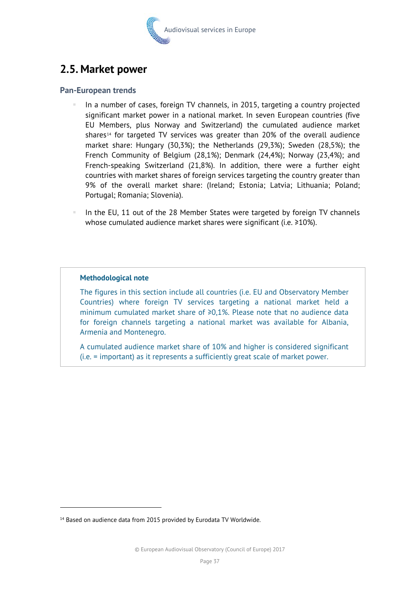

### <span id="page-44-0"></span>**2.5. Market power**

#### **Pan-European trends**

- In a number of cases, foreign TV channels, in 2015, targeting a country projected significant market power in a national market. In seven European countries (five EU Members, plus Norway and Switzerland) the cumulated audience market shares $14$  for targeted TV services was greater than 20% of the overall audience market share: Hungary (30,3%); the Netherlands (29,3%); Sweden (28,5%); the French Community of Belgium (28,1%); Denmark (24,4%); Norway (23,4%); and French-speaking Switzerland (21,8%). In addition, there were a further eight countries with market shares of foreign services targeting the country greater than 9% of the overall market share: (Ireland; Estonia; Latvia; Lithuania; Poland; Portugal; Romania; Slovenia).
- In the EU, 11 out of the 28 Member States were targeted by foreign TV channels whose cumulated audience market shares were significant (i.e. ≥10%).

#### **Methodological note**

1

The figures in this section include all countries (i.e. EU and Observatory Member Countries) where foreign TV services targeting a national market held a minimum cumulated market share of ≥0,1%. Please note that no audience data for foreign channels targeting a national market was available for Albania, Armenia and Montenegro.

A cumulated audience market share of 10% and higher is considered significant (i.e. = important) as it represents a sufficiently great scale of market power.

<span id="page-44-1"></span><sup>&</sup>lt;sup>14</sup> Based on audience data from 2015 provided by Eurodata TV Worldwide.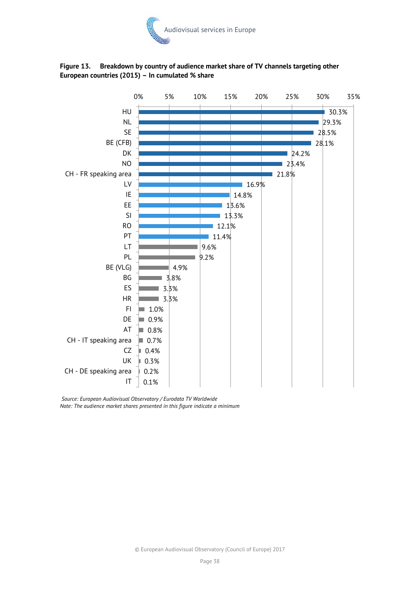

#### <span id="page-45-0"></span>**Figure 13. Breakdown by country of audience market share of TV channels targeting other European countries (2015) – In cumulated % share**



*Source: European Audiovisual Observatory / Eurodata TV Worldwide Note: The audience market shares presented in this figure indicate a minimum*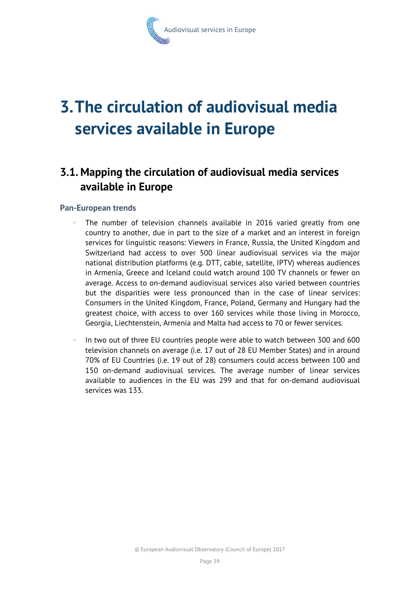# <span id="page-46-0"></span>**3.The circulation of audiovisual media services available in Europe**

# <span id="page-46-1"></span>**3.1. Mapping the circulation of audiovisual media services available in Europe**

#### **Pan-European trends**

- The number of television channels available in 2016 varied greatly from one country to another, due in part to the size of a market and an interest in foreign services for linguistic reasons: Viewers in France, Russia, the United Kingdom and Switzerland had access to over 500 linear audiovisual services via the major national distribution platforms (e.g. DTT, cable, satellite, IPTV) whereas audiences in Armenia, Greece and Iceland could watch around 100 TV channels or fewer on average. Access to on-demand audiovisual services also varied between countries but the disparities were less pronounced than in the case of linear services: Consumers in the United Kingdom, France, Poland, Germany and Hungary had the greatest choice, with access to over 160 services while those living in Morocco, Georgia, Liechtenstein, Armenia and Malta had access to 70 or fewer services.
- In two out of three EU countries people were able to watch between 300 and 600 television channels on average (i.e. 17 out of 28 EU Member States) and in around 70% of EU Countries (i.e. 19 out of 28) consumers could access between 100 and 150 on-demand audiovisual services. The average number of linear services available to audiences in the EU was 299 and that for on-demand audiovisual services was 133.

© European Audiovisual Observatory (Council of Europe) 2017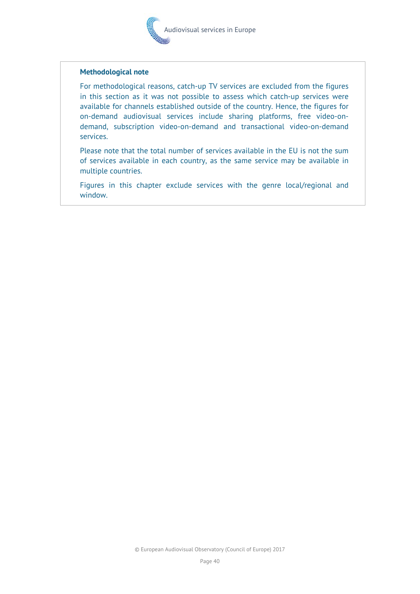

#### **Methodological note**

For methodological reasons, catch-up TV services are excluded from the figures in this section as it was not possible to assess which catch-up services were available for channels established outside of the country. Hence, the figures for on-demand audiovisual services include sharing platforms, free video-ondemand, subscription video-on-demand and transactional video-on-demand services.

Please note that the total number of services available in the EU is not the sum of services available in each country, as the same service may be available in multiple countries.

Figures in this chapter exclude services with the genre local/regional and window.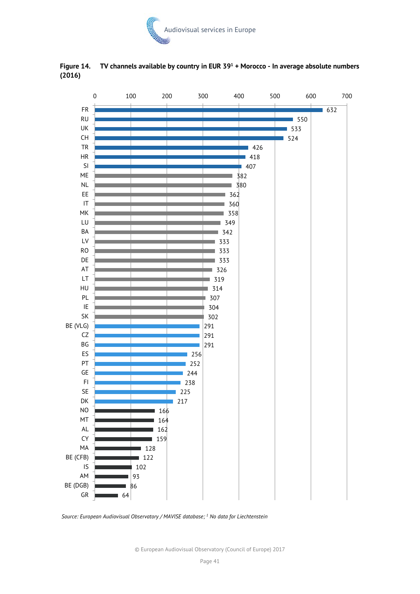

**Figure 14. TV channels available by country in EUR 391 + Morocco - In average absolute numbers (2016)**

<span id="page-48-0"></span>

*Source: European Audiovisual Observatory / MAVISE database; 1 No data for Liechtenstein*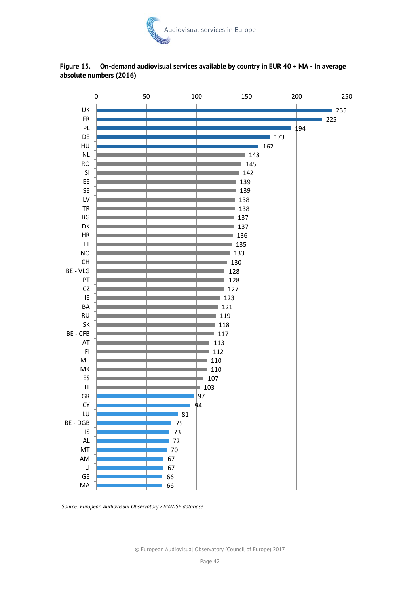

**Figure 15. On-demand audiovisual services available by country in EUR 40 + MA - In average absolute numbers (2016)**

<span id="page-49-0"></span>

*Source: European Audiovisual Observatory / MAVISE database*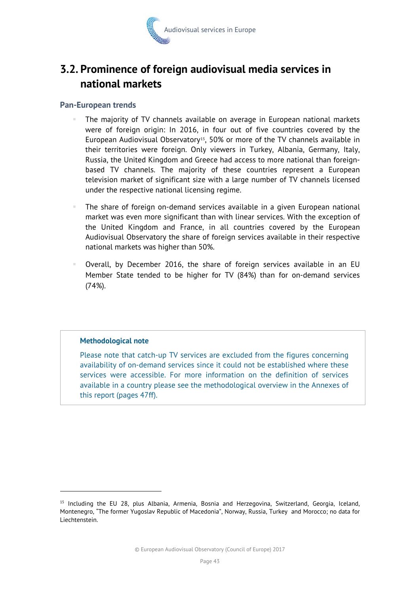

# <span id="page-50-0"></span>**3.2. Prominence of foreign audiovisual media services in national markets**

#### **Pan-European trends**

- The majority of TV channels available on average in European national markets were of foreign origin: In 2016, in four out of five countries covered by the European Audiovisual Observatory<sup>15</sup>, 50% or more of the TV channels available in their territories were foreign. Only viewers in Turkey, Albania, Germany, Italy, Russia, the United Kingdom and Greece had access to more national than foreignbased TV channels. The majority of these countries represent a European television market of significant size with a large number of TV channels licensed under the respective national licensing regime.
- The share of foreign on-demand services available in a given European national market was even more significant than with linear services. With the exception of the United Kingdom and France, in all countries covered by the European Audiovisual Observatory the share of foreign services available in their respective national markets was higher than 50%.
- Overall, by December 2016, the share of foreign services available in an EU Member State tended to be higher for TV (84%) than for on-demand services (74%).

#### **Methodological note**

1

Please note that catch-up TV services are excluded from the figures concerning availability of on-demand services since it could not be established where these services were accessible. For more information on the definition of services available in a country please see the methodological overview in the Annexes of this report (pages 47ff).

<span id="page-50-1"></span><sup>&</sup>lt;sup>15</sup> Including the EU 28, plus Albania, Armenia, Bosnia and Herzegovina, Switzerland, Georgia, Iceland, Montenegro, "The former Yugoslav Republic of Macedonia", Norway, Russia, Turkey and Morocco; no data for Liechtenstein.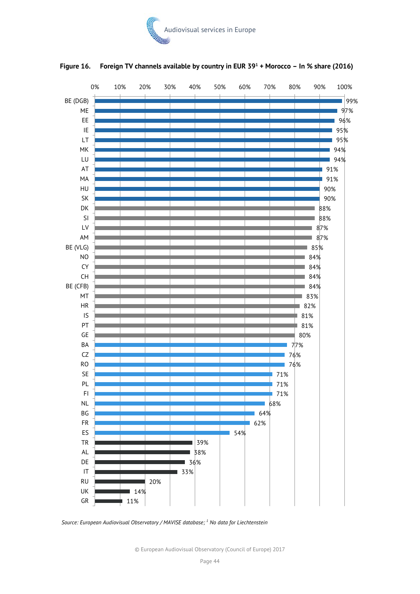



<span id="page-51-0"></span>**Figure 16. Foreign TV channels available by country in EUR 391 + Morocco – In % share (2016)**

*Source: European Audiovisual Observatory / MAVISE database; 1 No data for Liechtenstein*

© European Audiovisual Observatory (Council of Europe) 2017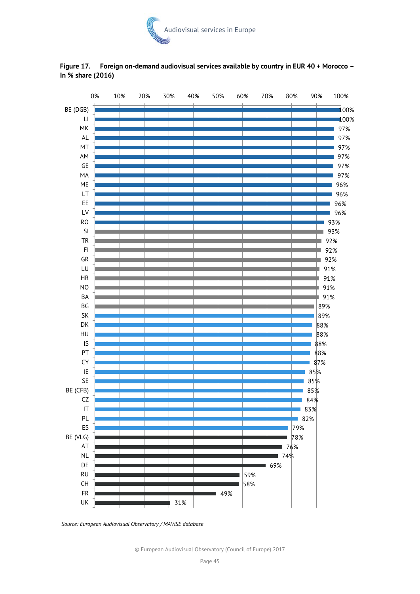

**Figure 17. Foreign on-demand audiovisual services available by country in EUR 40 + Morocco – In % share (2016)**

<span id="page-52-0"></span>

*Source: European Audiovisual Observatory / MAVISE database*

© European Audiovisual Observatory (Council of Europe) 2017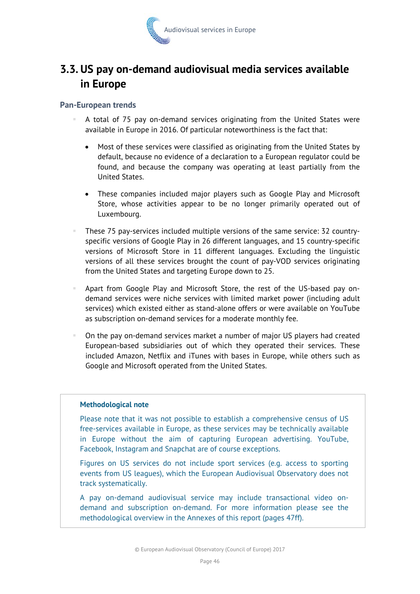

# <span id="page-53-0"></span>**3.3. US pay on-demand audiovisual media services available in Europe**

#### **Pan-European trends**

- A total of 75 pay on-demand services originating from the United States were available in Europe in 2016. Of particular noteworthiness is the fact that:
	- Most of these services were classified as originating from the United States by default, because no evidence of a declaration to a European regulator could be found, and because the company was operating at least partially from the United States.
	- These companies included major players such as Google Play and Microsoft Store, whose activities appear to be no longer primarily operated out of Luxembourg.
- These 75 pay-services included multiple versions of the same service: 32 countryspecific versions of Google Play in 26 different languages, and 15 country-specific versions of Microsoft Store in 11 different languages. Excluding the linguistic versions of all these services brought the count of pay-VOD services originating from the United States and targeting Europe down to 25.
- Apart from Google Play and Microsoft Store, the rest of the US-based pay ondemand services were niche services with limited market power (including adult services) which existed either as stand-alone offers or were available on YouTube as subscription on-demand services for a moderate monthly fee.
- On the pay on-demand services market a number of major US players had created European-based subsidiaries out of which they operated their services. These included Amazon, Netflix and iTunes with bases in Europe, while others such as Google and Microsoft operated from the United States.

#### **Methodological note**

Please note that it was not possible to establish a comprehensive census of US free-services available in Europe, as these services may be technically available in Europe without the aim of capturing European advertising. YouTube, Facebook, Instagram and Snapchat are of course exceptions.

Figures on US services do not include sport services (e.g. access to sporting events from US leagues), which the European Audiovisual Observatory does not track systematically.

A pay on-demand audiovisual service may include transactional video ondemand and subscription on-demand. For more information please see the methodological overview in the Annexes of this report (pages 47ff).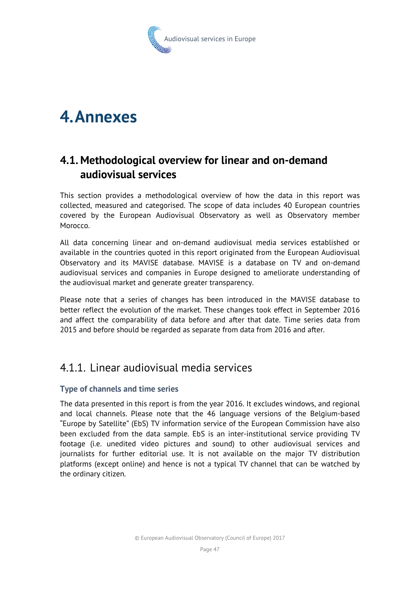

# <span id="page-54-0"></span>**4.Annexes**

# <span id="page-54-1"></span>**4.1. Methodological overview for linear and on-demand audiovisual services**

This section provides a methodological overview of how the data in this report was collected, measured and categorised. The scope of data includes 40 European countries covered by the European Audiovisual Observatory as well as Observatory member Morocco.

All data concerning linear and on-demand audiovisual media services established or available in the countries quoted in this report originated from the European Audiovisual Observatory and its MAVISE database. MAVISE is a database on TV and on-demand audiovisual services and companies in Europe designed to ameliorate understanding of the audiovisual market and generate greater transparency.

Please note that a series of changes has been introduced in the MAVISE database to better reflect the evolution of the market. These changes took effect in September 2016 and affect the comparability of data before and after that date. Time series data from 2015 and before should be regarded as separate from data from 2016 and after.

### <span id="page-54-2"></span>4.1.1. Linear audiovisual media services

#### **Type of channels and time series**

The data presented in this report is from the year 2016. It excludes windows, and regional and local channels. Please note that the 46 language versions of the Belgium-based "Europe by Satellite" (EbS) TV information service of the European Commission have also been excluded from the data sample. EbS is an inter-institutional service providing TV footage (i.e. unedited video pictures and sound) to other audiovisual services and journalists for further editorial use. It is not available on the major TV distribution platforms (except online) and hence is not a typical TV channel that can be watched by the ordinary citizen.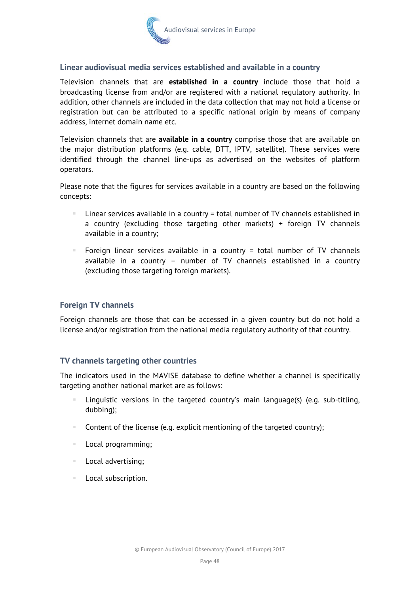

#### **Linear audiovisual media services established and available in a country**

Television channels that are **established in a country** include those that hold a broadcasting license from and/or are registered with a national regulatory authority. In addition, other channels are included in the data collection that may not hold a license or registration but can be attributed to a specific national origin by means of company address, internet domain name etc.

Television channels that are **available in a country** comprise those that are available on the major distribution platforms (e.g. cable, DTT, IPTV, satellite). These services were identified through the channel line-ups as advertised on the websites of platform operators.

Please note that the figures for services available in a country are based on the following concepts:

- Linear services available in a country = total number of TV channels established in a country (excluding those targeting other markets) + foreign TV channels available in a country;
- Foreign linear services available in a country  $=$  total number of TV channels available in a country – number of TV channels established in a country (excluding those targeting foreign markets).

#### **Foreign TV channels**

Foreign channels are those that can be accessed in a given country but do not hold a license and/or registration from the national media regulatory authority of that country.

#### **TV channels targeting other countries**

The indicators used in the MAVISE database to define whether a channel is specifically targeting another national market are as follows:

- Linguistic versions in the targeted country's main language(s) (e.g. sub-titling, dubbing);
- Content of the license (e.g. explicit mentioning of the targeted country);
- **Local programming;**
- **Local advertising;**
- **Local subscription.**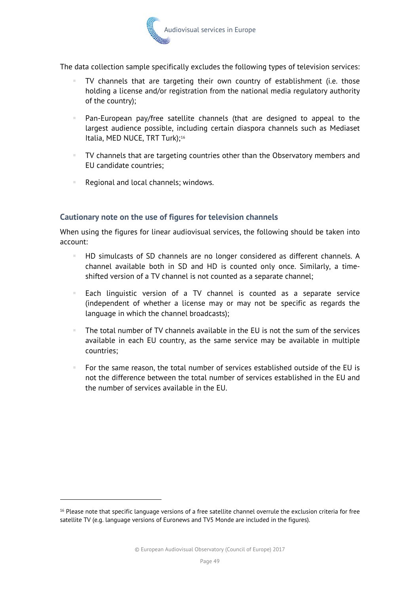

The data collection sample specifically excludes the following types of television services:

- TV channels that are targeting their own country of establishment (i.e. those holding a license and/or registration from the national media regulatory authority of the country);
- Pan-European pay/free satellite channels (that are designed to appeal to the largest audience possible, including certain diaspora channels such as Mediaset Italia, MED NUCE, TRT Turk);<sup>[16](#page-56-0)</sup>
- TV channels that are targeting countries other than the Observatory members and EU candidate countries;
- Regional and local channels; windows.

1

#### **Cautionary note on the use of figures for television channels**

When using the figures for linear audiovisual services, the following should be taken into account:

- HD simulcasts of SD channels are no longer considered as different channels. A channel available both in SD and HD is counted only once. Similarly, a timeshifted version of a TV channel is not counted as a separate channel;
- Each linguistic version of a TV channel is counted as a separate service (independent of whether a license may or may not be specific as regards the language in which the channel broadcasts);
- The total number of TV channels available in the EU is not the sum of the services available in each EU country, as the same service may be available in multiple countries;
- For the same reason, the total number of services established outside of the EU is not the difference between the total number of services established in the EU and the number of services available in the EU.

<span id="page-56-0"></span><sup>&</sup>lt;sup>16</sup> Please note that specific language versions of a free satellite channel overrule the exclusion criteria for free satellite TV (e.g. language versions of Euronews and TV5 Monde are included in the figures).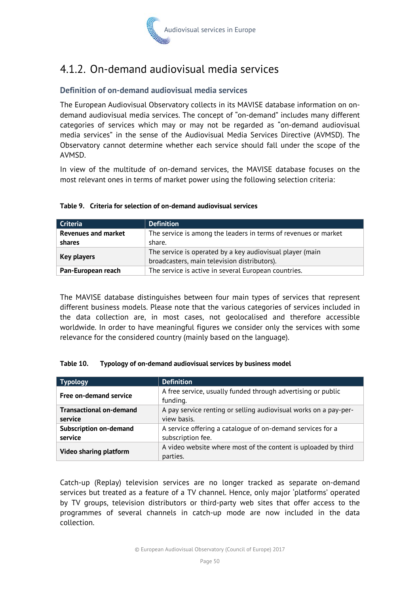

## <span id="page-57-0"></span>4.1.2. On-demand audiovisual media services

#### **Definition of on-demand audiovisual media services**

The European Audiovisual Observatory collects in its MAVISE database information on ondemand audiovisual media services. The concept of "on-demand" includes many different categories of services which may or may not be regarded as "on-demand audiovisual media services" in the sense of the Audiovisual Media Services Directive (AVMSD). The Observatory cannot determine whether each service should fall under the scope of the AVMSD.

In view of the multitude of on-demand services, the MAVISE database focuses on the most relevant ones in terms of market power using the following selection criteria:

| <b>Criteria</b>            | <b>Definition</b>                                               |
|----------------------------|-----------------------------------------------------------------|
| <b>Revenues and market</b> | The service is among the leaders in terms of revenues or market |
| shares                     | share.                                                          |
|                            | The service is operated by a key audiovisual player (main       |
| Key players                | broadcasters, main television distributors).                    |
| Pan-European reach         | The service is active in several European countries.            |

#### <span id="page-57-1"></span>**Table 9. Criteria for selection of on-demand audiovisual services**

The MAVISE database distinguishes between four main types of services that represent different business models. Please note that the various categories of services included in the data collection are, in most cases, not geolocalised and therefore accessible worldwide. In order to have meaningful figures we consider only the services with some relevance for the considered country (mainly based on the language).

#### <span id="page-57-2"></span>**Table 10. Typology of on-demand audiovisual services by business model**

| <b>Typology</b>                           | <b>Definition</b>                                                               |
|-------------------------------------------|---------------------------------------------------------------------------------|
| Free on-demand service                    | A free service, usually funded through advertising or public<br>funding.        |
| <b>Transactional on-demand</b><br>service | A pay service renting or selling audiovisual works on a pay-per-<br>view basis. |
| <b>Subscription on-demand</b><br>service  | A service offering a catalogue of on-demand services for a<br>subscription fee. |
| Video sharing platform                    | A video website where most of the content is uploaded by third<br>parties.      |

Catch-up (Replay) television services are no longer tracked as separate on-demand services but treated as a feature of a TV channel. Hence, only major 'platforms' operated by TV groups, television distributors or third-party web sites that offer access to the programmes of several channels in catch-up mode are now included in the data collection.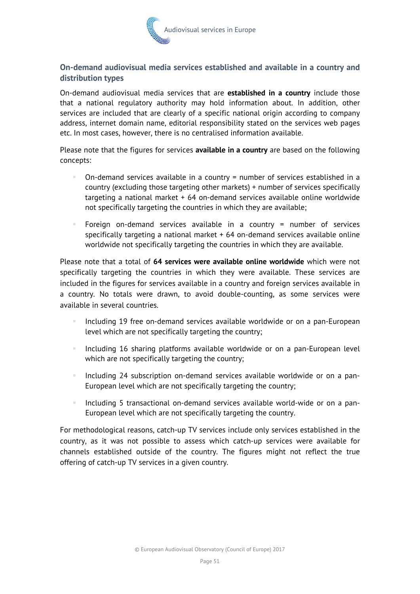

#### **On-demand audiovisual media services established and available in a country and distribution types**

On-demand audiovisual media services that are **established in a country** include those that a national regulatory authority may hold information about. In addition, other services are included that are clearly of a specific national origin according to company address, internet domain name, editorial responsibility stated on the services web pages etc. In most cases, however, there is no centralised information available.

Please note that the figures for services **available in a country** are based on the following concepts:

- On-demand services available in a country = number of services established in a country (excluding those targeting other markets) + number of services specifically targeting a national market + 64 on-demand services available online worldwide not specifically targeting the countries in which they are available;
- Foreign on-demand services available in a country  $=$  number of services specifically targeting a national market + 64 on-demand services available online worldwide not specifically targeting the countries in which they are available.

Please note that a total of **64 services were available online worldwide** which were not specifically targeting the countries in which they were available. These services are included in the figures for services available in a country and foreign services available in a country. No totals were drawn, to avoid double-counting, as some services were available in several countries.

- Including 19 free on-demand services available worldwide or on a pan-European level which are not specifically targeting the country;
- Including 16 sharing platforms available worldwide or on a pan-European level which are not specifically targeting the country;
- Including 24 subscription on-demand services available worldwide or on a pan-European level which are not specifically targeting the country;
- Including 5 transactional on-demand services available world-wide or on a pan-European level which are not specifically targeting the country.

For methodological reasons, catch-up TV services include only services established in the country, as it was not possible to assess which catch-up services were available for channels established outside of the country. The figures might not reflect the true offering of catch-up TV services in a given country.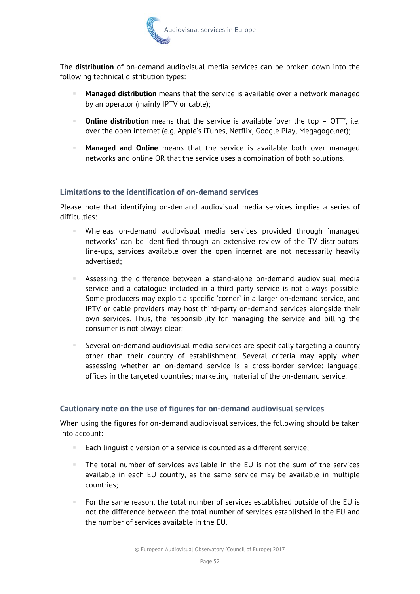

The **distribution** of on-demand audiovisual media services can be broken down into the following technical distribution types:

- **Managed distribution** means that the service is available over a network managed by an operator (mainly IPTV or cable);
- **Online distribution** means that the service is available 'over the top OTT', i.e. over the open internet (e.g. Apple's iTunes, Netflix, Google Play, Megagogo.net);
- **Managed and Online** means that the service is available both over managed networks and online OR that the service uses a combination of both solutions.

#### **Limitations to the identification of on-demand services**

Please note that identifying on-demand audiovisual media services implies a series of difficulties:

- Whereas on-demand audiovisual media services provided through 'managed networks' can be identified through an extensive review of the TV distributors' line-ups, services available over the open internet are not necessarily heavily advertised;
- Assessing the difference between a stand-alone on-demand audiovisual media service and a catalogue included in a third party service is not always possible. Some producers may exploit a specific 'corner' in a larger on-demand service, and IPTV or cable providers may host third-party on-demand services alongside their own services. Thus, the responsibility for managing the service and billing the consumer is not always clear;
- Several on-demand audiovisual media services are specifically targeting a country other than their country of establishment. Several criteria may apply when assessing whether an on-demand service is a cross-border service: language; offices in the targeted countries; marketing material of the on-demand service.

#### **Cautionary note on the use of figures for on-demand audiovisual services**

When using the figures for on-demand audiovisual services, the following should be taken into account:

- Each linguistic version of a service is counted as a different service;
- The total number of services available in the EU is not the sum of the services available in each EU country, as the same service may be available in multiple countries;
- For the same reason, the total number of services established outside of the EU is not the difference between the total number of services established in the EU and the number of services available in the EU.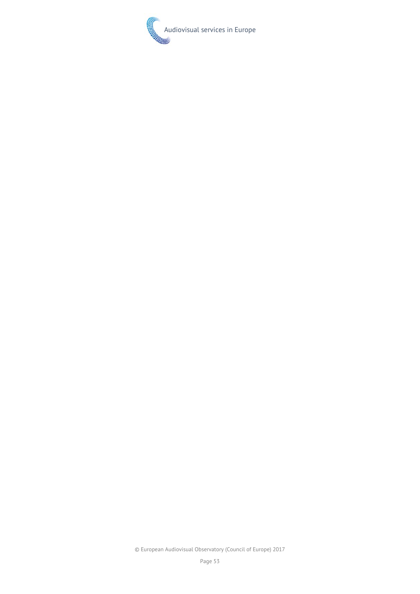

© European Audiovisual Observatory (Council of Europe) 2017